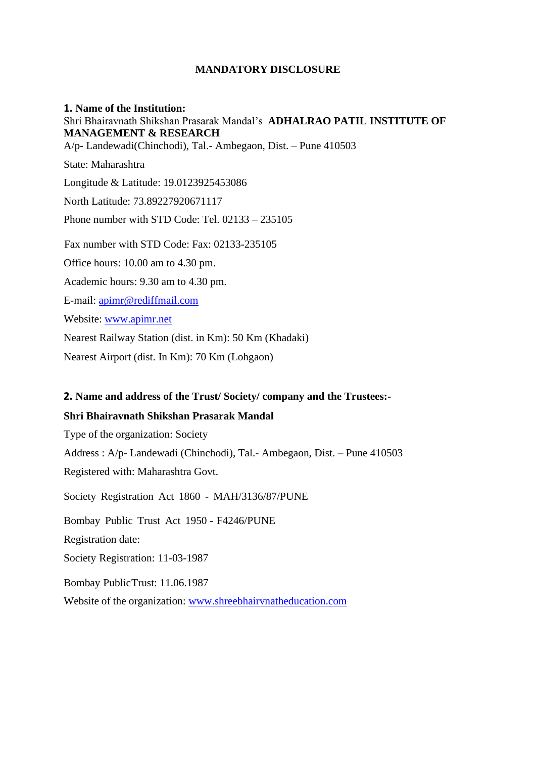## **MANDATORY DISCLOSURE**

## **1. Name of the Institution:** Shri Bhairavnath Shikshan Prasarak Mandal's **ADHALRAO PATIL INSTITUTE OF MANAGEMENT & RESEARCH**

A/p- Landewadi(Chinchodi), Tal.- Ambegaon, Dist. – Pune 410503

State: Maharashtra Longitude & Latitude: 19.0123925453086 North Latitude: 73.89227920671117 Phone number with STD Code: Tel. 02133 – 235105 Fax number with STD Code: Fax: 02133-235105 Office hours: 10.00 am to 4.30 pm. Academic hours: 9.30 am to 4.30 pm. E-mail: [apimr@rediffmail.com](mailto:apimr@rediffmail.com) Website: [www.apimr.net](http://www.apimr.net/) Nearest Railway Station (dist. in Km): 50 Km (Khadaki) Nearest Airport (dist. In Km): 70 Km (Lohgaon)

## **2. Name and address of the Trust/ Society/ company and the Trustees:-**

## **Shri Bhairavnath Shikshan Prasarak Mandal**

Type of the organization: Society

Address : A/p- Landewadi (Chinchodi), Tal.- Ambegaon, Dist. – Pune 410503 Registered with: Maharashtra Govt.

Society Registration Act 1860 - MAH/3136/87/PUNE Bombay Public Trust Act 1950 - F4246/PUNE Registration date: Society Registration: 11-03-1987 Bombay PublicTrust: 11.06.1987 Website of the organization: [www.shreebhairvnatheducation.com](http://www.shreebhairvnatheducation.com/)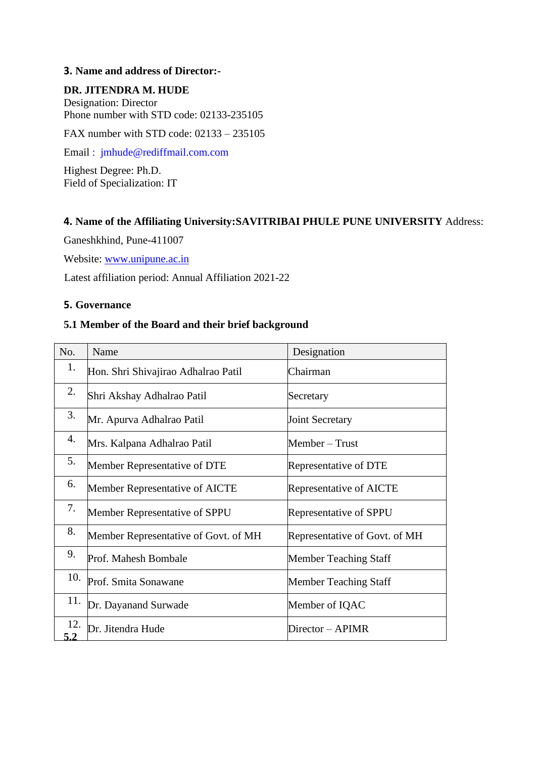## **3. Name and address of Director:-**

## **DR. JITENDRA M. HUDE**

Designation: Director Phone number with STD code: 02133-235105

FAX number with STD code: 02133 – 235105

Email [: jmhude@rediffmail.com.com](mailto:%20:%20%20jmhude@rediffmail.com.com)

Highest Degree: Ph.D. Field of Specialization: IT

## **4. Name of the Affiliating University:SAVITRIBAI PHULE PUNE UNIVERSITY** Address:

Ganeshkhind, Pune-411007

Website: [www.unipune.ac.in](http://www.unipune.ac.in/)

Latest affiliation period: Annual Affiliation 2021-22

## **5. Governance**

## **5.1 Member of the Board and their brief background**

| No.        | Name                                 | Designation                   |
|------------|--------------------------------------|-------------------------------|
| 1.         | Hon. Shri Shivajirao Adhalrao Patil  | Chairman                      |
| 2.         | Shri Akshay Adhalrao Patil           | Secretary                     |
| 3.         | Mr. Apurva Adhalrao Patil            | <b>Joint Secretary</b>        |
| 4.         | Mrs. Kalpana Adhalrao Patil          | Member – Trust                |
| 5.         | Member Representative of DTE         | Representative of DTE         |
| 6.         | Member Representative of AICTE       | Representative of AICTE       |
| 7.         | Member Representative of SPPU        | Representative of SPPU        |
| 8.         | Member Representative of Govt. of MH | Representative of Govt. of MH |
| 9.         | Prof. Mahesh Bombale                 | Member Teaching Staff         |
| 10.        | Prof. Smita Sonawane                 | Member Teaching Staff         |
| 11.        | Dr. Dayanand Surwade                 | Member of IQAC                |
| 12.<br>5.2 | Dr. Jitendra Hude                    | Director – APIMR              |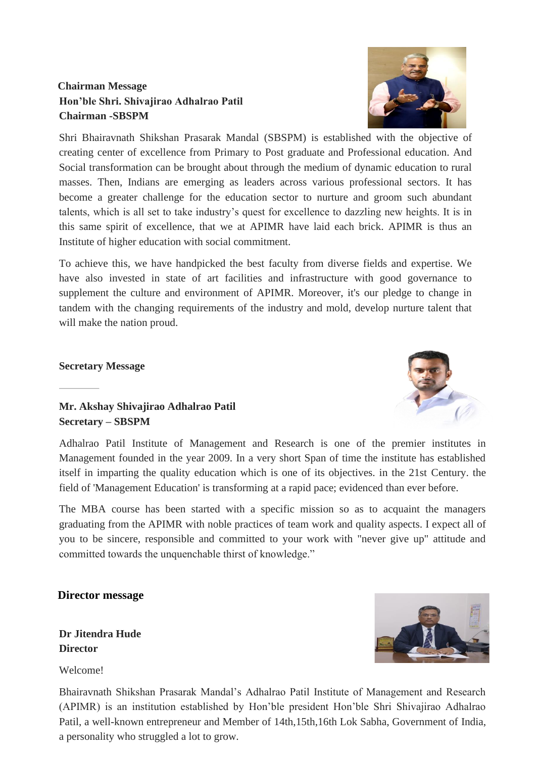# **Chairman Message Hon'ble Shri. Shivajirao Adhalrao Patil Chairman -SBSPM**

Shri Bhairavnath Shikshan Prasarak Mandal (SBSPM) is established with the objective of creating center of excellence from Primary to Post graduate and Professional education. And Social transformation can be brought about through the medium of dynamic education to rural masses. Then, Indians are emerging as leaders across various professional sectors. It has become a greater challenge for the education sector to nurture and groom such abundant talents, which is all set to take industry's quest for excellence to dazzling new heights. It is in this same spirit of excellence, that we at APIMR have laid each brick. APIMR is thus an Institute of higher education with social commitment.

To achieve this, we have handpicked the best faculty from diverse fields and expertise. We have also invested in state of art facilities and infrastructure with good governance to supplement the culture and environment of APIMR. Moreover, it's our pledge to change in tandem with the changing requirements of the industry and mold, develop nurture talent that will make the nation proud.

## **Secretary Message**

## **Mr. Akshay Shivajirao Adhalrao Patil Secretary – SBSPM**

Adhalrao Patil Institute of Management and Research is one of the premier institutes in Management founded in the year 2009. In a very short Span of time the institute has established itself in imparting the quality education which is one of its objectives. in the 21st Century. the field of 'Management Education' is transforming at a rapid pace; evidenced than ever before.

The MBA course has been started with a specific mission so as to acquaint the managers graduating from the APIMR with noble practices of team work and quality aspects. I expect all of you to be sincere, responsible and committed to your work with "never give up" attitude and committed towards the unquenchable thirst of knowledge."

## **Director message**

**Dr Jitendra Hude Director** 

Welcome!

Bhairavnath Shikshan Prasarak Mandal's Adhalrao Patil Institute of Management and Research (APIMR) is an institution established by Hon'ble president Hon'ble Shri Shivajirao Adhalrao Patil, a well-known entrepreneur and Member of 14th,15th,16th Lok Sabha, Government of India, a personality who struggled a lot to grow.





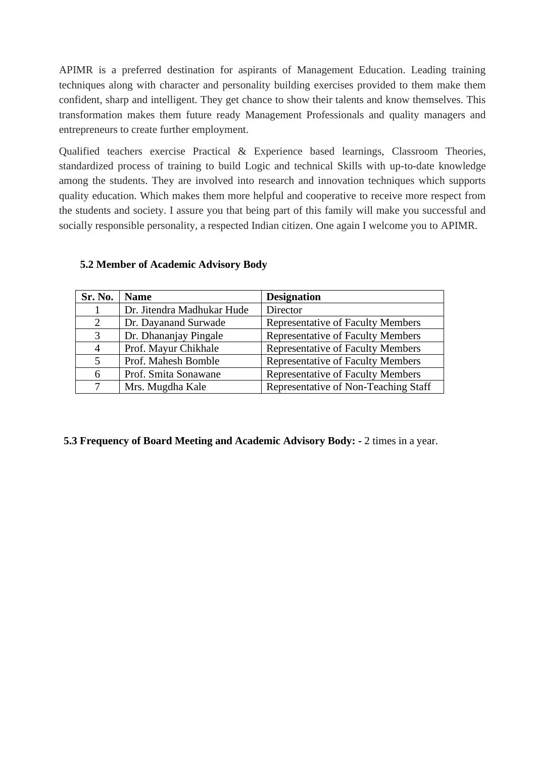APIMR is a preferred destination for aspirants of Management Education. Leading training techniques along with character and personality building exercises provided to them make them confident, sharp and intelligent. They get chance to show their talents and know themselves. This transformation makes them future ready Management Professionals and quality managers and entrepreneurs to create further employment.

Qualified teachers exercise Practical & Experience based learnings, Classroom Theories, standardized process of training to build Logic and technical Skills with up-to-date knowledge among the students. They are involved into research and innovation techniques which supports quality education. Which makes them more helpful and cooperative to receive more respect from the students and society. I assure you that being part of this family will make you successful and socially responsible personality, a respected Indian citizen. One again I welcome you to APIMR.

| <b>Sr. No.</b> | <b>Name</b>                | <b>Designation</b>                       |
|----------------|----------------------------|------------------------------------------|
|                | Dr. Jitendra Madhukar Hude | Director                                 |
| 2              | Dr. Dayanand Surwade       | <b>Representative of Faculty Members</b> |
| 3              | Dr. Dhananjay Pingale      | <b>Representative of Faculty Members</b> |
| 4              | Prof. Mayur Chikhale       | <b>Representative of Faculty Members</b> |
|                | Prof. Mahesh Bomble        | <b>Representative of Faculty Members</b> |
| 6              | Prof. Smita Sonawane       | <b>Representative of Faculty Members</b> |
|                | Mrs. Mugdha Kale           | Representative of Non-Teaching Staff     |

## **5.2 Member of Academic Advisory Body**

## **5.3 Frequency of Board Meeting and Academic Advisory Body: -** 2 times in a year.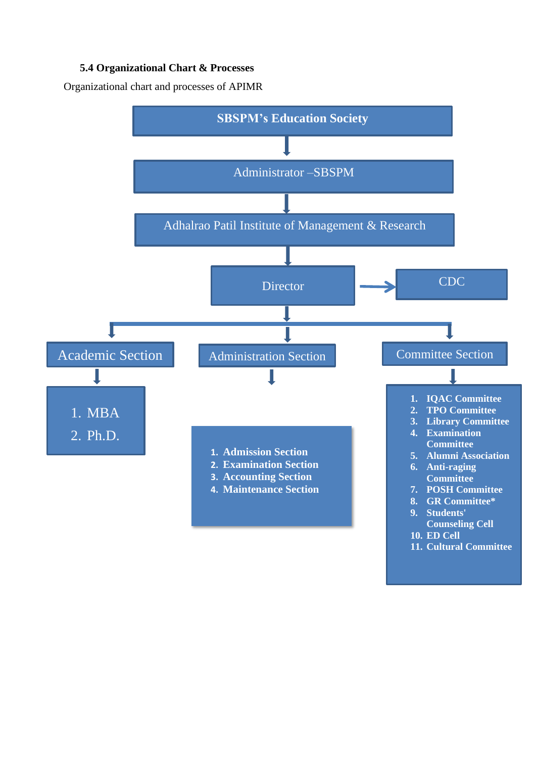## **5.4 Organizational Chart & Processes**

Organizational chart and processes of APIMR

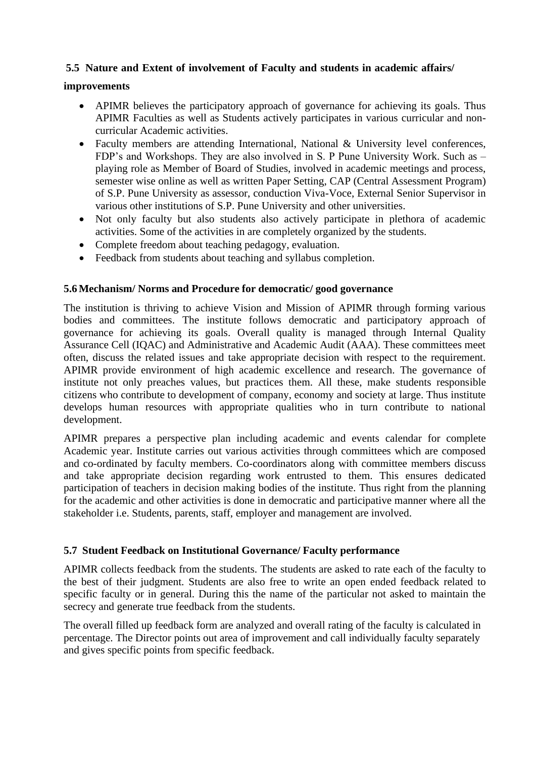## **5.5 Nature and Extent of involvement of Faculty and students in academic affairs/**

## **improvements**

- APIMR believes the participatory approach of governance for achieving its goals. Thus APIMR Faculties as well as Students actively participates in various curricular and noncurricular Academic activities.
- Faculty members are attending International, National & University level conferences, FDP's and Workshops. They are also involved in S. P Pune University Work. Such as – playing role as Member of Board of Studies, involved in academic meetings and process, semester wise online as well as written Paper Setting, CAP (Central Assessment Program) of S.P. Pune University as assessor, conduction Viva-Voce, External Senior Supervisor in various other institutions of S.P. Pune University and other universities.
- Not only faculty but also students also actively participate in plethora of academic activities. Some of the activities in are completely organized by the students.
- Complete freedom about teaching pedagogy, evaluation.
- Feedback from students about teaching and syllabus completion.

## **5.6Mechanism/ Norms and Procedure for democratic/ good governance**

The institution is thriving to achieve Vision and Mission of APIMR through forming various bodies and committees. The institute follows democratic and participatory approach of governance for achieving its goals. Overall quality is managed through Internal Quality Assurance Cell (IQAC) and Administrative and Academic Audit (AAA). These committees meet often, discuss the related issues and take appropriate decision with respect to the requirement. APIMR provide environment of high academic excellence and research. The governance of institute not only preaches values, but practices them. All these, make students responsible citizens who contribute to development of company, economy and society at large. Thus institute develops human resources with appropriate qualities who in turn contribute to national development.

APIMR prepares a perspective plan including academic and events calendar for complete Academic year. Institute carries out various activities through committees which are composed and co-ordinated by faculty members. Co-coordinators along with committee members discuss and take appropriate decision regarding work entrusted to them. This ensures dedicated participation of teachers in decision making bodies of the institute. Thus right from the planning for the academic and other activities is done in democratic and participative manner where all the stakeholder i.e. Students, parents, staff, employer and management are involved.

## **5.7 Student Feedback on Institutional Governance/ Faculty performance**

APIMR collects feedback from the students. The students are asked to rate each of the faculty to the best of their judgment. Students are also free to write an open ended feedback related to specific faculty or in general. During this the name of the particular not asked to maintain the secrecy and generate true feedback from the students.

The overall filled up feedback form are analyzed and overall rating of the faculty is calculated in percentage. The Director points out area of improvement and call individually faculty separately and gives specific points from specific feedback.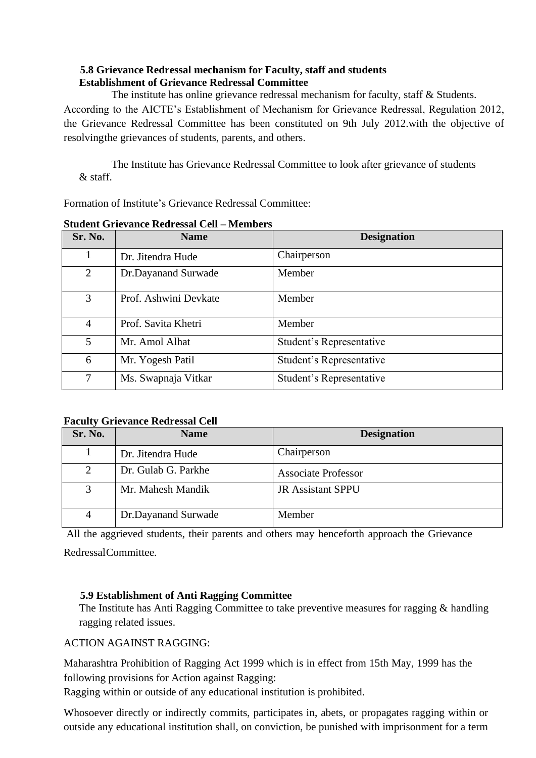## **5.8 Grievance Redressal mechanism for Faculty, staff and students Establishment of Grievance Redressal Committee**

The institute has online grievance redressal mechanism for faculty, staff & Students. According to the AICTE's Establishment of Mechanism for Grievance Redressal, Regulation 2012, the Grievance Redressal Committee has been constituted on 9th July 2012.with the objective of resolvingthe grievances of students, parents, and others.

The Institute has Grievance Redressal Committee to look after grievance of students & staff.

Formation of Institute's Grievance Redressal Committee:

| Sr. No.        | <b>Name</b>           | <b>Designation</b>       |
|----------------|-----------------------|--------------------------|
| 1              | Dr. Jitendra Hude     | Chairperson              |
| 2              | Dr.Dayanand Surwade   | Member                   |
| 3              | Prof. Ashwini Devkate | Member                   |
| $\overline{4}$ | Prof. Savita Khetri   | Member                   |
| 5              | Mr. Amol Alhat        | Student's Representative |
| 6              | Mr. Yogesh Patil      | Student's Representative |
| 7              | Ms. Swapnaja Vitkar   | Student's Representative |

**Student Grievance Redressal Cell – Members**

## **Faculty Grievance Redressal Cell**

| Sr. No.        | <b>Name</b>         | <b>Designation</b>         |
|----------------|---------------------|----------------------------|
|                | Dr. Jitendra Hude   | Chairperson                |
| $\overline{2}$ | Dr. Gulab G. Parkhe | <b>Associate Professor</b> |
| 3              | Mr. Mahesh Mandik   | <b>JR Assistant SPPU</b>   |
| 4              | Dr.Dayanand Surwade | Member                     |

All the aggrieved students, their parents and others may henceforth approach the Grievance RedressalCommittee.

## **5.9 Establishment of Anti Ragging Committee**

The Institute has Anti Ragging Committee to take preventive measures for ragging & handling ragging related issues.

## ACTION AGAINST RAGGING:

Maharashtra Prohibition of Ragging Act 1999 which is in effect from 15th May, 1999 has the following provisions for Action against Ragging:

Ragging within or outside of any educational institution is prohibited.

Whosoever directly or indirectly commits, participates in, abets, or propagates ragging within or outside any educational institution shall, on conviction, be punished with imprisonment for a term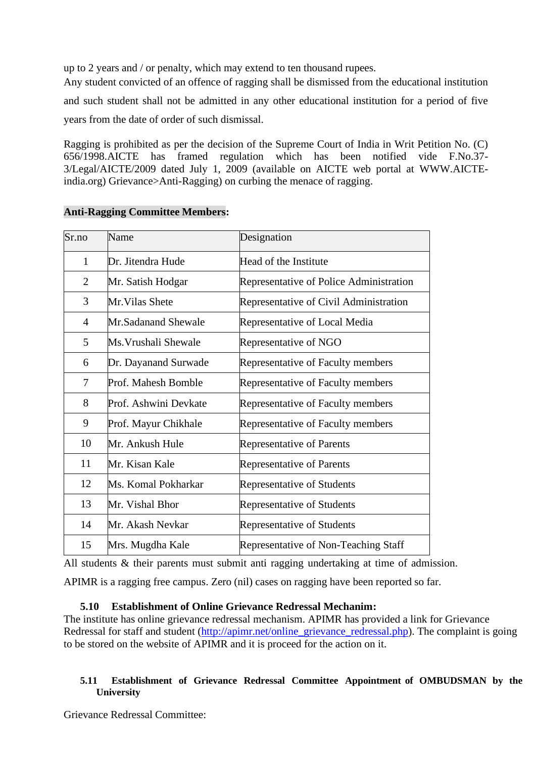up to 2 years and / or penalty, which may extend to ten thousand rupees.

Any student convicted of an offence of ragging shall be dismissed from the educational institution and such student shall not be admitted in any other educational institution for a period of five years from the date of order of such dismissal.

Ragging is prohibited as per the decision of the Supreme Court of India in Writ Petition No. (C) 656/1998.AICTE has framed regulation which has been notified vide F.No.37- 3/Legal/AICTE/2009 dated July 1, 2009 (available on AICTE web portal at [WWW.AICTE](http://www.aicte-/)india.org) Grievance>Anti-Ragging) on curbing the menace of ragging.

| Sr.no          | Name                  | Designation                             |  |
|----------------|-----------------------|-----------------------------------------|--|
| $\mathbf{1}$   | Dr. Jitendra Hude     | Head of the Institute                   |  |
| $\overline{2}$ | Mr. Satish Hodgar     | Representative of Police Administration |  |
| 3              | Mr. Vilas Shete       | Representative of Civil Administration  |  |
| 4              | Mr.Sadanand Shewale   | Representative of Local Media           |  |
| 5              | Ms. Vrushali Shewale  | Representative of NGO                   |  |
| 6              | Dr. Dayanand Surwade  | Representative of Faculty members       |  |
| 7              | Prof. Mahesh Bomble   | Representative of Faculty members       |  |
| 8              | Prof. Ashwini Devkate | Representative of Faculty members       |  |
| 9              | Prof. Mayur Chikhale  | Representative of Faculty members       |  |
| 10             | Mr. Ankush Hule       | <b>Representative of Parents</b>        |  |
| 11             | Mr. Kisan Kale        | <b>Representative of Parents</b>        |  |
| 12             | Ms. Komal Pokharkar   | Representative of Students              |  |
| 13             | Mr. Vishal Bhor       | Representative of Students              |  |
| 14             | Mr. Akash Nevkar      | Representative of Students              |  |
| 15             | Mrs. Mugdha Kale      | Representative of Non-Teaching Staff    |  |

## **Anti-Ragging Committee Members:**

All students & their parents must submit anti ragging undertaking at time of admission.

APIMR is a ragging free campus. Zero (nil) cases on ragging have been reported so far.

## **5.10 Establishment of Online Grievance Redressal Mechanim:**

The institute has online grievance redressal mechanism. APIMR has provided a link for Grievance Redressal for staff and student [\(http://apimr.net/online\\_grievance\\_redressal.php\)](http://apimr.net/online_grievance_redressal.php). The complaint is going to be stored on the website of APIMR and it is proceed for the action on it.

## **5.11 Establishment of Grievance Redressal Committee Appointment of OMBUDSMAN by the University**

Grievance Redressal Committee: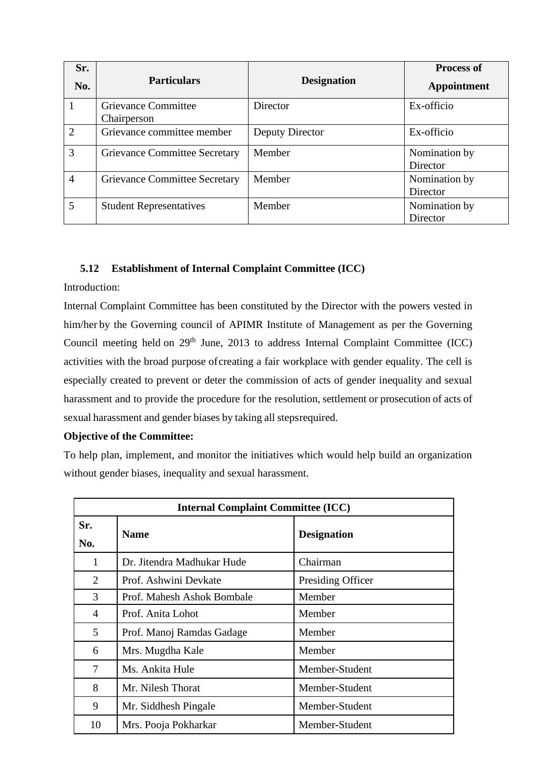| Sr.<br>No.     | <b>Particulars</b><br><b>Designation</b>  |                 | <b>Process of</b><br>Appointment |
|----------------|-------------------------------------------|-----------------|----------------------------------|
|                | <b>Grievance Committee</b><br>Chairperson | Director        | Ex-officio                       |
| $\overline{2}$ | Grievance committee member                | Deputy Director | Ex-officio                       |
| 3              | Grievance Committee Secretary             | Member          | Nomination by<br>Director        |
| $\overline{4}$ | Grievance Committee Secretary             | Member          | Nomination by<br>Director        |
| 5              | <b>Student Representatives</b>            | Member          | Nomination by<br>Director        |

## **5.12 Establishment of Internal Complaint Committee (ICC)**

Introduction:

Internal Complaint Committee has been constituted by the Director with the powers vested in him/her by the Governing council of APIMR Institute of Management as per the Governing Council meeting held on  $29<sup>th</sup>$  June, 2013 to address Internal Complaint Committee (ICC) activities with the broad purpose ofcreating a fair workplace with gender equality. The cell is especially created to prevent or deter the commission of acts of gender inequality and sexual harassment and to provide the procedure for the resolution, settlement or prosecution of acts of sexual harassment and gender biases by taking all stepsrequired.

## **Objective of the Committee:**

To help plan, implement, and monitor the initiatives which would help build an organization without gender biases, inequality and sexual harassment.

| <b>Internal Complaint Committee (ICC)</b> |                            |                    |  |
|-------------------------------------------|----------------------------|--------------------|--|
| Sr.<br><b>Name</b><br>No.                 |                            | <b>Designation</b> |  |
| 1                                         | Dr. Jitendra Madhukar Hude | Chairman           |  |
| 2                                         | Prof. Ashwini Devkate      | Presiding Officer  |  |
| 3                                         | Prof. Mahesh Ashok Bombale | Member             |  |
| 4                                         | Prof. Anita Lohot          | Member             |  |
| 5                                         | Prof. Manoj Ramdas Gadage  | Member             |  |
| 6                                         | Mrs. Mugdha Kale           | Member             |  |
| 7                                         | Ms. Ankita Hule            | Member-Student     |  |
| 8                                         | Mr. Nilesh Thorat          | Member-Student     |  |
| 9                                         | Mr. Siddhesh Pingale       | Member-Student     |  |
| 10                                        | Mrs. Pooja Pokharkar       | Member-Student     |  |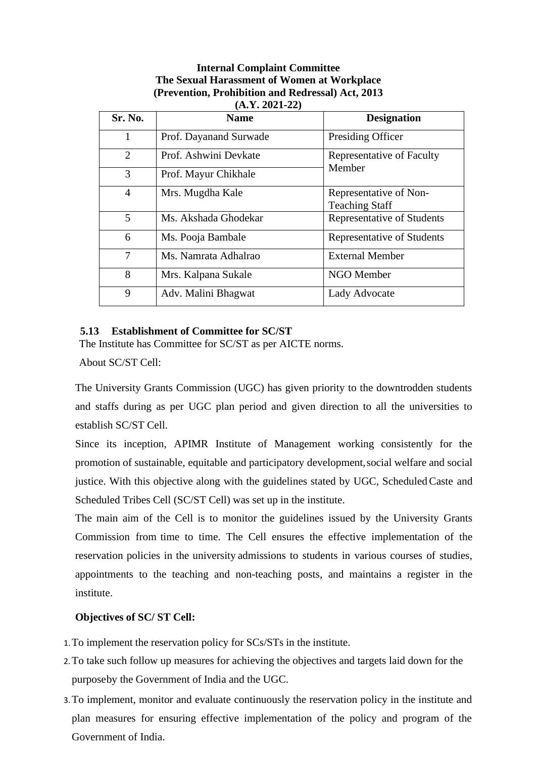#### **Internal Complaint Committee The Sexual Harassment of Women at Workplace (Prevention, Prohibition and Redressal) Act, 2013 (A.Y. 2021-22)**

| Sr. No.        | <b>Name</b>            | <b>Designation</b>                              |
|----------------|------------------------|-------------------------------------------------|
| 1              | Prof. Dayanand Surwade | Presiding Officer                               |
| 2              | Prof. Ashwini Devkate  | Representative of Faculty                       |
| 3              | Prof. Mayur Chikhale   | Member                                          |
| $\overline{4}$ | Mrs. Mugdha Kale       | Representative of Non-<br><b>Teaching Staff</b> |
| 5              | Ms. Akshada Ghodekar   | Representative of Students                      |
| 6              | Ms. Pooja Bambale      | Representative of Students                      |
| 7              | Ms. Namrata Adhalrao   | <b>External Member</b>                          |
| 8              | Mrs. Kalpana Sukale    | NGO Member                                      |
| 9              | Adv. Malini Bhagwat    | Lady Advocate                                   |

## **5.13 Establishment of Committee for SC/ST**

The Institute has Committee for SC/ST as per AICTE norms.

About SC/ST Cell:

The University Grants Commission (UGC) has given priority to the downtrodden students and staffs during as per UGC plan period and given direction to all the universities to establish SC/ST Cell.

Since its inception, APIMR Institute of Management working consistently for the promotion of sustainable, equitable and participatory development,social welfare and social justice. With this objective along with the guidelines stated by UGC, ScheduledCaste and Scheduled Tribes Cell (SC/ST Cell) was set up in the institute.

The main aim of the Cell is to monitor the guidelines issued by the University Grants Commission from time to time. The Cell ensures the effective implementation of the reservation policies in the university admissions to students in various courses of studies, appointments to the teaching and non-teaching posts, and maintains a register in the institute.

## **Objectives of SC/ ST Cell:**

- 1.To implement the reservation policy for SCs/STs in the institute.
- 2.To take such follow up measures for achieving the objectives and targets laid down for the purposeby the Government of India and the UGC.
- 3.To implement, monitor and evaluate continuously the reservation policy in the institute and plan measures for ensuring effective implementation of the policy and program of the Government of India.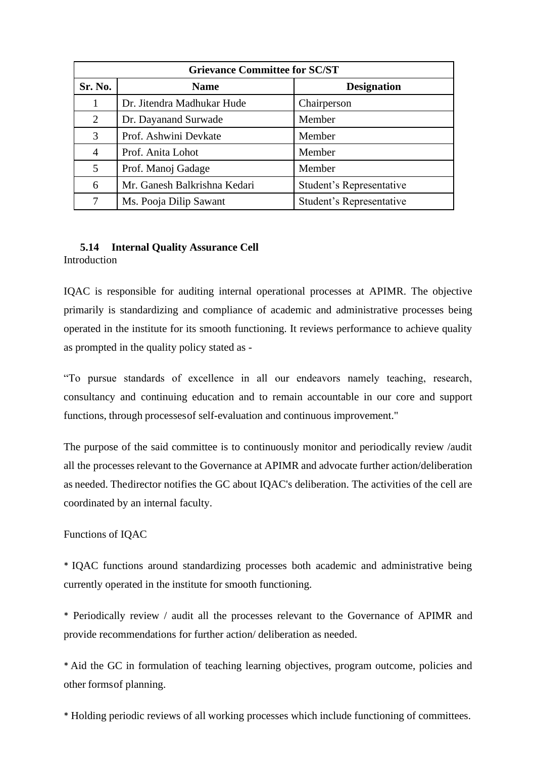| <b>Grievance Committee for SC/ST</b>         |                              |                          |  |
|----------------------------------------------|------------------------------|--------------------------|--|
| Sr. No.<br><b>Designation</b><br><b>Name</b> |                              |                          |  |
|                                              | Dr. Jitendra Madhukar Hude   | Chairperson              |  |
| 2                                            | Dr. Dayanand Surwade         | Member                   |  |
| 3                                            | Prof. Ashwini Devkate        | Member                   |  |
| 4                                            | Prof. Anita Lohot            | Member                   |  |
| 5                                            | Member<br>Prof. Manoj Gadage |                          |  |
| 6                                            | Mr. Ganesh Balkrishna Kedari | Student's Representative |  |
| 7                                            | Ms. Pooja Dilip Sawant       | Student's Representative |  |

#### **5.14 Internal Quality Assurance Cell** Introduction

IQAC is responsible for auditing internal operational processes at APIMR. The objective primarily is standardizing and compliance of academic and administrative processes being operated in the institute for its smooth functioning. It reviews performance to achieve quality as prompted in the quality policy stated as -

"To pursue standards of excellence in all our endeavors namely teaching, research, consultancy and continuing education and to remain accountable in our core and support functions, through processesof self-evaluation and continuous improvement."

The purpose of the said committee is to continuously monitor and periodically review /audit all the processes relevant to the Governance at APIMR and advocate further action/deliberation as needed. Thedirector notifies the GC about IQAC's deliberation. The activities of the cell are coordinated by an internal faculty.

## Functions of IQAC

\* IQAC functions around standardizing processes both academic and administrative being currently operated in the institute for smooth functioning.

\* Periodically review / audit all the processes relevant to the Governance of APIMR and provide recommendations for further action/ deliberation as needed.

\* Aid the GC in formulation of teaching learning objectives, program outcome, policies and other formsof planning.

\* Holding periodic reviews of all working processes which include functioning of committees.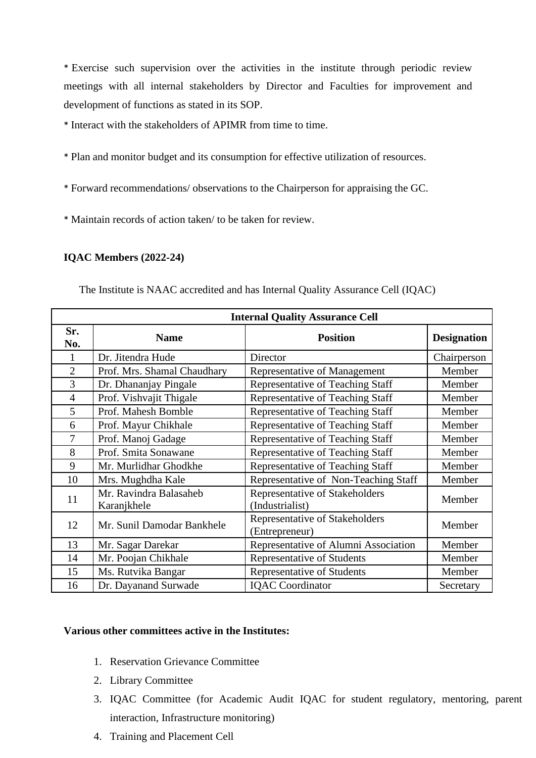\* Exercise such supervision over the activities in the institute through periodic review meetings with all internal stakeholders by Director and Faculties for improvement and development of functions as stated in its SOP.

- \* Interact with the stakeholders of APIMR from time to time.
- \* Plan and monitor budget and its consumption for effective utilization of resources.
- \* Forward recommendations/ observations to the Chairperson for appraising the GC.
- \* Maintain records of action taken/ to be taken for review.

## **IQAC Members (2022-24)**

| <b>Internal Quality Assurance Cell</b> |                                       |                                                   |                    |  |
|----------------------------------------|---------------------------------------|---------------------------------------------------|--------------------|--|
| Sr.<br>No.                             | <b>Name</b>                           | <b>Position</b>                                   | <b>Designation</b> |  |
|                                        | Dr. Jitendra Hude                     | Director                                          | Chairperson        |  |
| $\overline{2}$                         | Prof. Mrs. Shamal Chaudhary           | Representative of Management                      | Member             |  |
| 3                                      | Dr. Dhananjay Pingale                 | Representative of Teaching Staff                  | Member             |  |
| $\overline{4}$                         | Prof. Vishvajit Thigale               | Representative of Teaching Staff                  | Member             |  |
| 5                                      | Prof. Mahesh Bomble                   | Representative of Teaching Staff                  | Member             |  |
| 6                                      | Prof. Mayur Chikhale                  | Representative of Teaching Staff                  | Member             |  |
| 7                                      | Prof. Manoj Gadage                    | Representative of Teaching Staff                  | Member             |  |
| 8                                      | Prof. Smita Sonawane                  | Representative of Teaching Staff                  | Member             |  |
| 9                                      | Mr. Murlidhar Ghodkhe                 | Representative of Teaching Staff                  | Member             |  |
| 10                                     | Mrs. Mughdha Kale                     | Representative of Non-Teaching Staff              | Member             |  |
| 11                                     | Mr. Ravindra Balasaheb<br>Karanjkhele | Representative of Stakeholders<br>(Industrialist) | Member             |  |
| 12                                     | Mr. Sunil Damodar Bankhele            | Representative of Stakeholders<br>(Entrepreneur)  | Member             |  |
| 13                                     | Mr. Sagar Darekar                     | Representative of Alumni Association              | Member             |  |
| 14                                     | Mr. Poojan Chikhale                   | <b>Representative of Students</b>                 | Member             |  |
| 15                                     | Ms. Rutvika Bangar                    | <b>Representative of Students</b>                 | Member             |  |
| 16                                     | Dr. Dayanand Surwade                  | <b>IQAC</b> Coordinator                           | Secretary          |  |

The Institute is NAAC accredited and has Internal Quality Assurance Cell (IQAC)

## **Various other committees active in the Institutes:**

- 1. Reservation Grievance Committee
- 2. Library Committee
- 3. IQAC Committee (for Academic Audit IQAC for student regulatory, mentoring, parent interaction, Infrastructure monitoring)
- 4. Training and Placement Cell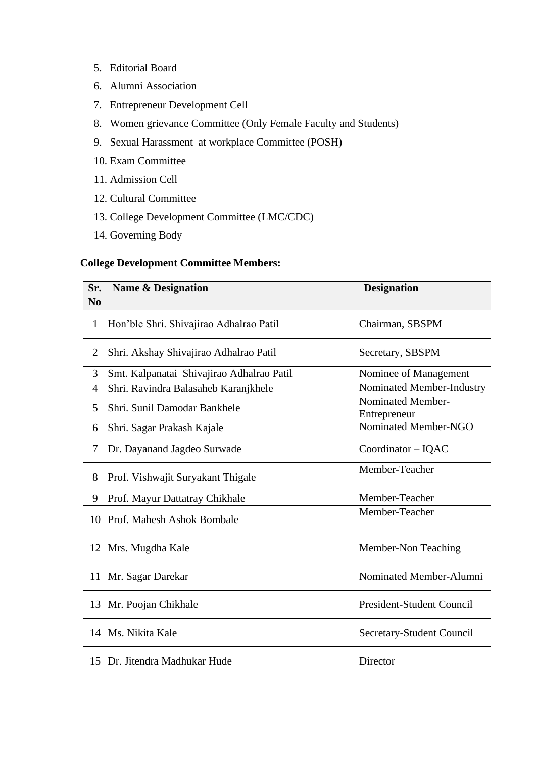- 5. Editorial Board
- 6. Alumni Association
- 7. Entrepreneur Development Cell
- 8. Women grievance Committee (Only Female Faculty and Students)
- 9. Sexual Harassment at workplace Committee (POSH)
- 10. Exam Committee
- 11. Admission Cell
- 12. Cultural Committee
- 13. College Development Committee (LMC/CDC)
- 14. Governing Body

## **College Development Committee Members:**

| Sr.            | <b>Name &amp; Designation</b>             | <b>Designation</b>                |
|----------------|-------------------------------------------|-----------------------------------|
| N <sub>0</sub> |                                           |                                   |
| $\mathbf{1}$   | Hon'ble Shri. Shivajirao Adhalrao Patil   | Chairman, SBSPM                   |
| $\overline{2}$ | Shri. Akshay Shivajirao Adhalrao Patil    | Secretary, SBSPM                  |
| 3              | Smt. Kalpanatai Shivajirao Adhalrao Patil | Nominee of Management             |
| $\overline{4}$ | Shri. Ravindra Balasaheb Karanjkhele      | Nominated Member-Industry         |
| 5              | Shri. Sunil Damodar Bankhele              | Nominated Member-<br>Entrepreneur |
| 6              | Shri. Sagar Prakash Kajale                | Nominated Member-NGO              |
| 7              | Dr. Dayanand Jagdeo Surwade               | Coordinator - IQAC                |
| 8              | Prof. Vishwajit Suryakant Thigale         | Member-Teacher                    |
| 9              | Prof. Mayur Dattatray Chikhale            | Member-Teacher                    |
| 10             | Prof. Mahesh Ashok Bombale                | Member-Teacher                    |
| 12             | Mrs. Mugdha Kale                          | Member-Non Teaching               |
| 11             | Mr. Sagar Darekar                         | Nominated Member-Alumni           |
| 13             | Mr. Poojan Chikhale                       | <b>President-Student Council</b>  |
| 14             | Ms. Nikita Kale                           | Secretary-Student Council         |
| 15             | Dr. Jitendra Madhukar Hude                | Director                          |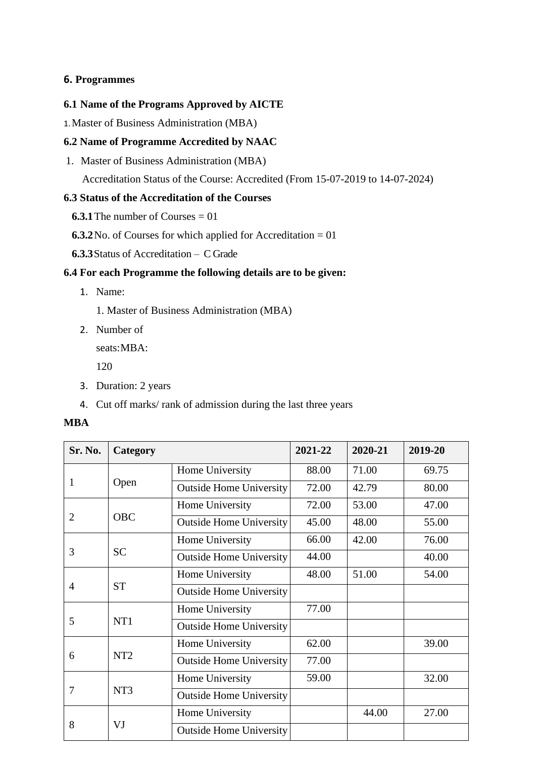## **6. Programmes**

#### **6.1 Name of the Programs Approved by AICTE**

1.Master of Business Administration (MBA)

## **6.2 Name of Programme Accredited by NAAC**

1. Master of Business Administration (MBA)

Accreditation Status of the Course: Accredited (From 15-07-2019 to 14-07-2024)

## **6.3 Status of the Accreditation of the Courses**

- **6.3.1** The number of Courses  $= 01$
- **6.3.2**No. of Courses for which applied for Accreditation = 01
- **6.3.3**Status of Accreditation C Grade

## **6.4 For each Programme the following details are to be given:**

- 1. Name:
	- 1. Master of Business Administration (MBA)
- 2. Number of

seats:MBA:

120

- 3. Duration: 2 years
- 4. Cut off marks/ rank of admission during the last three years

#### **MBA**

| Sr. No. | Category        |                                | 2021-22 | 2020-21 | 2019-20 |
|---------|-----------------|--------------------------------|---------|---------|---------|
|         |                 | Home University                | 88.00   | 71.00   | 69.75   |
| 1       | Open            | <b>Outside Home University</b> | 72.00   | 42.79   | 80.00   |
|         |                 | Home University                | 72.00   | 53.00   | 47.00   |
| 2       | <b>OBC</b>      | <b>Outside Home University</b> | 45.00   | 48.00   | 55.00   |
|         |                 | Home University                | 66.00   | 42.00   | 76.00   |
| 3       | <b>SC</b>       | <b>Outside Home University</b> | 44.00   |         | 40.00   |
| 4       | <b>ST</b>       | Home University                | 48.00   | 51.00   | 54.00   |
|         |                 | <b>Outside Home University</b> |         |         |         |
| 5       | NT1             | Home University                | 77.00   |         |         |
|         |                 | <b>Outside Home University</b> |         |         |         |
|         | NT <sub>2</sub> | Home University                | 62.00   |         | 39.00   |
| 6       |                 | <b>Outside Home University</b> | 77.00   |         |         |
| 7       | NT <sub>3</sub> | Home University                | 59.00   |         | 32.00   |
|         |                 | <b>Outside Home University</b> |         |         |         |
| 8       |                 | Home University                |         | 44.00   | 27.00   |
|         | VJ              | <b>Outside Home University</b> |         |         |         |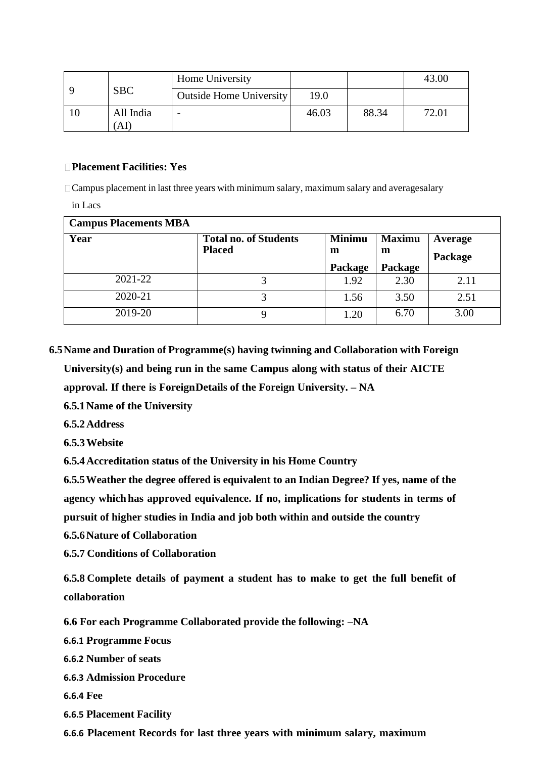|     | Home University |                         |       |       | 43.00 |
|-----|-----------------|-------------------------|-------|-------|-------|
|     | <b>SBC</b>      | Outside Home University | 19.0  |       |       |
| -10 | All India<br>AI | -                       | 46.03 | 88.34 | 72.01 |

## **Placement Facilities: Yes**

 $\Box$  Campus placement in last three years with minimum salary, maximum salary and averagesalary

in Lacs

| <b>Campus Placements MBA</b> |                                               |                    |                    |                    |
|------------------------------|-----------------------------------------------|--------------------|--------------------|--------------------|
| Year                         | <b>Total no. of Students</b><br><b>Placed</b> | <b>Minimu</b><br>m | <b>Maximu</b><br>m | Average<br>Package |
|                              |                                               | Package            | Package            |                    |
| 2021-22                      |                                               | 1.92               | 2.30               | 2.11               |
| 2020-21                      |                                               | 1.56               | 3.50               | 2.51               |
| 2019-20                      | 9                                             | 1.20               | 6.70               | 3.00               |

**6.5Name and Duration of Programme(s) having twinning and Collaboration with Foreign**

**University(s) and being run in the same Campus along with status of their AICTE**

**approval. If there is ForeignDetails of the Foreign University. – NA**

**6.5.1Name of the University**

**6.5.2Address**

**6.5.3Website**

**6.5.4Accreditation status of the University in his Home Country**

**6.5.5Weather the degree offered is equivalent to an Indian Degree? If yes, name of the agency which has approved equivalence. If no, implications for students in terms of pursuit of higher studies in India and job both within and outside the country**

**6.5.6Nature of Collaboration**

**6.5.7 Conditions of Collaboration**

**6.5.8 Complete details of payment a student has to make to get the full benefit of collaboration**

**6.6 For each Programme Collaborated provide the following: –NA**

**6.6.1 Programme Focus**

**6.6.2 Number of seats**

**6.6.3 Admission Procedure**

**6.6.4 Fee**

**6.6.5 Placement Facility**

**6.6.6 Placement Records for last three years with minimum salary, maximum**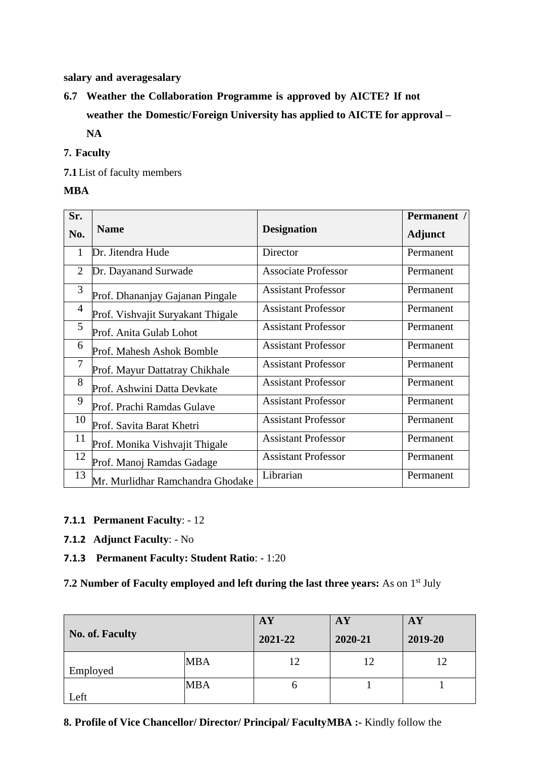**salary and averagesalary**

**6.7 Weather the Collaboration Programme is approved by AICTE? If not weather the Domestic/Foreign University has applied to AICTE for approval – NA**

## **7. Faculty**

**7.1**List of faculty members

## **MBA**

| Sr.            |                                   |                            | Permanent /    |
|----------------|-----------------------------------|----------------------------|----------------|
| No.            | <b>Name</b>                       | <b>Designation</b>         | <b>Adjunct</b> |
| 1              | Dr. Jitendra Hude                 | Director                   | Permanent      |
| 2              | Dr. Dayanand Surwade              | <b>Associate Professor</b> | Permanent      |
| 3              | Prof. Dhananjay Gajanan Pingale   | <b>Assistant Professor</b> | Permanent      |
| $\overline{4}$ | Prof. Vishvajit Suryakant Thigale | <b>Assistant Professor</b> | Permanent      |
| 5              | Prof. Anita Gulab Lohot           | <b>Assistant Professor</b> | Permanent      |
| 6              | Prof. Mahesh Ashok Bomble         | <b>Assistant Professor</b> | Permanent      |
| $\overline{7}$ | Prof. Mayur Dattatray Chikhale    | <b>Assistant Professor</b> | Permanent      |
| 8              | Prof. Ashwini Datta Devkate       | <b>Assistant Professor</b> | Permanent      |
| 9              | Prof. Prachi Ramdas Gulave        | <b>Assistant Professor</b> | Permanent      |
| 10             | Prof. Savita Barat Khetri         | <b>Assistant Professor</b> | Permanent      |
| 11             | Prof. Monika Vishvajit Thigale    | <b>Assistant Professor</b> | Permanent      |
| 12             | Prof. Manoj Ramdas Gadage         | <b>Assistant Professor</b> | Permanent      |
| 13             | Mr. Murlidhar Ramchandra Ghodake  | Librarian                  | Permanent      |

- **7.1.1 Permanent Faculty**: 12
- **7.1.2 Adjunct Faculty**: No
- **7.1.3 Permanent Faculty: Student Ratio**: 1:20

**7.2 Number of Faculty employed and left during the last three years:** As on 1 st July

| <b>No. of. Faculty</b> |            | AY<br>2021-22 | AY<br>2020-21 | ${\bf A}{\bf Y}$<br>2019-20 |
|------------------------|------------|---------------|---------------|-----------------------------|
| Employed               | <b>MBA</b> | 12            | 12            | 12                          |
| Left                   | <b>MBA</b> | n             |               |                             |

## **8. Profile of Vice Chancellor/ Director/ Principal/ FacultyMBA :-** Kindly follow the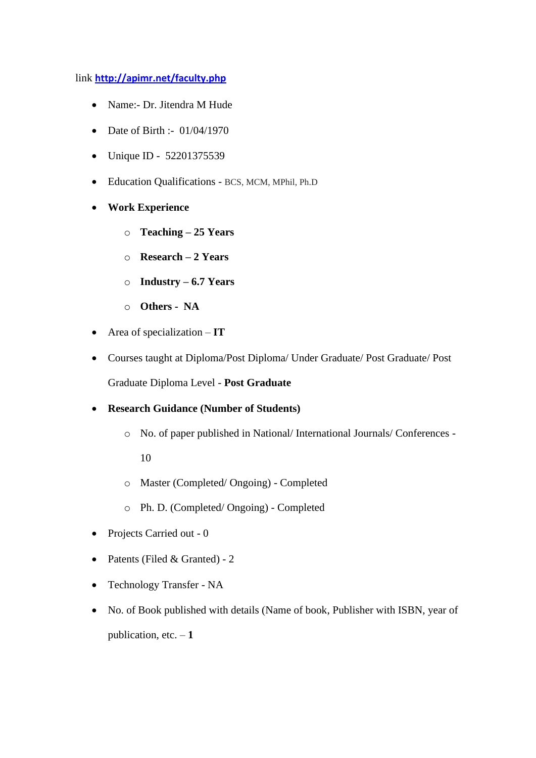## link **<http://apimr.net/faculty.php>**

- Name:- Dr. Jitendra M Hude
- Date of Birth :- 01/04/1970
- Unique ID 52201375539
- Education Qualifications BCS, MCM, MPhil, Ph.D
- **Work Experience**
	- o **Teaching – 25 Years**
	- o **Research – 2 Years**
	- o **Industry – 6.7 Years**
	- o **Others NA**
- Area of specialization **IT**
- Courses taught at Diploma/Post Diploma/ Under Graduate/ Post Graduate/ Post Graduate Diploma Level - **Post Graduate**
- **Research Guidance (Number of Students)**
	- o No. of paper published in National/ International Journals/ Conferences -

10

- o Master (Completed/ Ongoing) Completed
- o Ph. D. (Completed/ Ongoing) Completed
- Projects Carried out 0
- Patents (Filed & Granted) 2
- Technology Transfer NA
- No. of Book published with details (Name of book, Publisher with ISBN, year of publication, etc. – **1**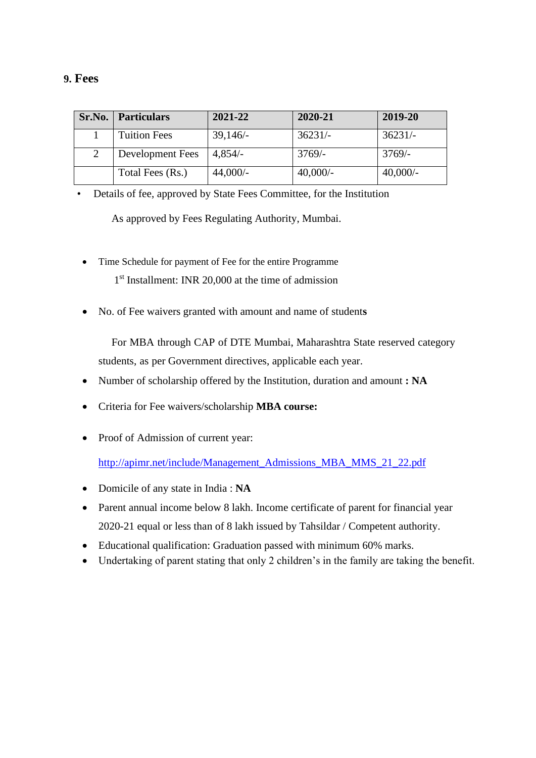## **9. Fees**

| Sr.No. | <b>Particulars</b>  | 2021-22    | 2020-21    | 2019-20    |
|--------|---------------------|------------|------------|------------|
|        | <b>Tuition Fees</b> | 39,146/    | $36231/-$  | $36231/-$  |
|        | Development Fees    | $4,854/-$  | $3769/-$   | $3769/-$   |
|        | Total Fees (Rs.)    | $44,000/-$ | $40,000/-$ | $40,000/-$ |

• Details of fee, approved by State Fees Committee, for the Institution

As approved by Fees Regulating Authority, Mumbai.

- Time Schedule for payment of Fee for the entire Programme 1 st Installment: INR 20,000 at the time of admission
- No. of Fee waivers granted with amount and name of student**s**

For MBA through CAP of DTE Mumbai, Maharashtra State reserved category students, as per Government directives, applicable each year.

- Number of scholarship offered by the Institution, duration and amount **: NA**
- Criteria for Fee waivers/scholarship **MBA course:**
- Proof of Admission of current year:

[http://apimr.net/include/Management\\_Admissions\\_MBA\\_MMS\\_21\\_22.pdf](http://apimr.net/include/Management_Admissions_MBA_MMS_21_22.pdf)

- Domicile of any state in India : **NA**
- Parent annual income below 8 lakh. Income certificate of parent for financial year 2020-21 equal or less than of 8 lakh issued by Tahsildar / Competent authority.
- Educational qualification: Graduation passed with minimum 60% marks.
- Undertaking of parent stating that only 2 children's in the family are taking the benefit.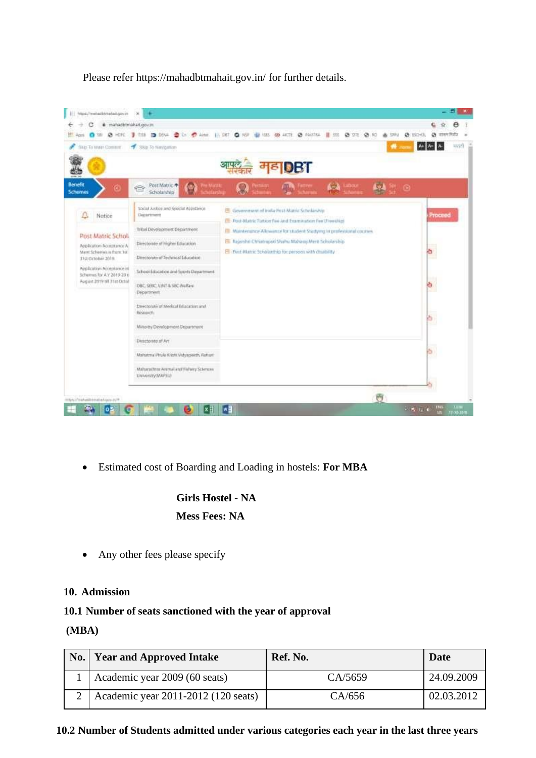



• Estimated cost of Boarding and Loading in hostels: **For MBA**

# **Girls Hostel - NA Mess Fees: NA**

• Any other fees please specify

## **10. Admission**

## **10.1 Number of seats sanctioned with the year of approval**

## **(MBA)**

| No.   Year and Approved Intake      | Ref. No. | Date       |
|-------------------------------------|----------|------------|
| Academic year 2009 (60 seats)       | CA/5659  | 24.09.2009 |
| Academic year 2011-2012 (120 seats) | CA/656   | 02.03.2012 |

**10.2 Number of Students admitted under various categories each year in the last three years**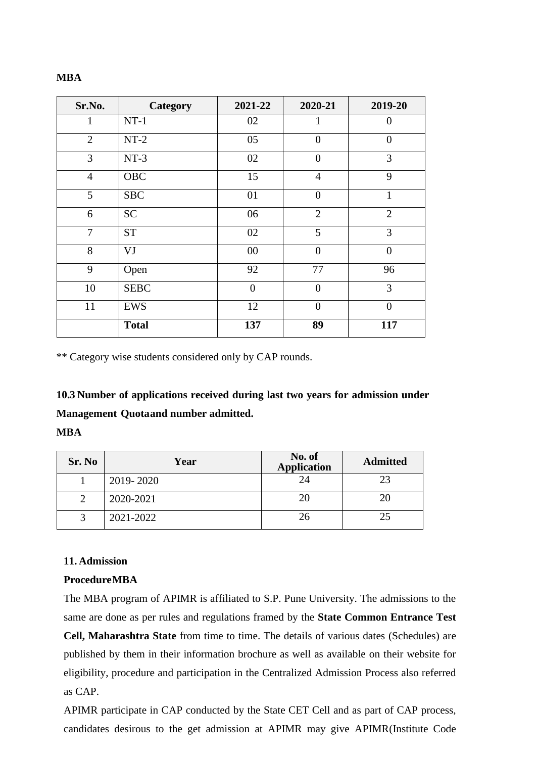#### **MBA**

| Sr.No.         | Category     | 2021-22        | 2020-21        | 2019-20        |
|----------------|--------------|----------------|----------------|----------------|
|                | $NT-1$       | 02             |                | 0              |
| $\overline{2}$ | $NT-2$       | 05             | $\overline{0}$ | $\overline{0}$ |
| 3              | $NT-3$       | 02             | $\theta$       | 3              |
| $\overline{4}$ | OBC          | 15             | $\overline{4}$ | 9              |
| 5              | <b>SBC</b>   | 01             | $\theta$       | $\mathbf{1}$   |
| 6              | <b>SC</b>    | 06             | $\overline{2}$ | $\overline{2}$ |
| $\overline{7}$ | <b>ST</b>    | 02             | 5              | 3              |
| 8              | VJ           | 00             | $\theta$       | $\overline{0}$ |
| 9              | Open         | 92             | 77             | 96             |
| 10             | <b>SEBC</b>  | $\overline{0}$ | $\overline{0}$ | 3              |
| 11             | <b>EWS</b>   | 12             | $\overline{0}$ | $\overline{0}$ |
|                | <b>Total</b> | 137            | 89             | 117            |

\*\* Category wise students considered only by CAP rounds.

**10.3 Number of applications received during last two years for admission under Management Quotaand number admitted.**

## **MBA**

| Sr. No | Year      | No. of<br><b>Application</b> | <b>Admitted</b> |
|--------|-----------|------------------------------|-----------------|
|        | 2019-2020 | 24                           | つっ              |
|        | 2020-2021 | 20                           | 20              |
|        | 2021-2022 | 26                           | 25              |

#### **11. Admission**

#### **ProcedureMBA**

The MBA program of APIMR is affiliated to S.P. Pune University. The admissions to the same are done as per rules and regulations framed by the **State Common Entrance Test Cell, Maharashtra State** from time to time. The details of various dates (Schedules) are published by them in their information brochure as well as available on their website for eligibility, procedure and participation in the Centralized Admission Process also referred as CAP.

APIMR participate in CAP conducted by the State CET Cell and as part of CAP process, candidates desirous to the get admission at APIMR may give APIMR(Institute Code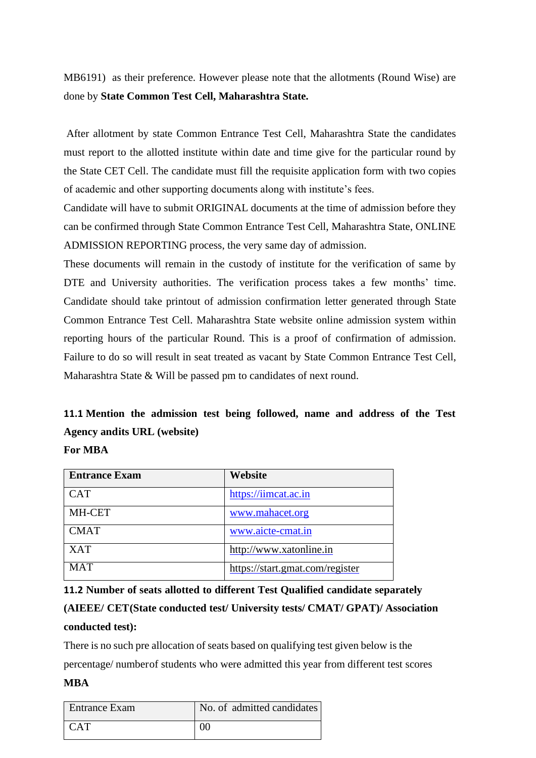MB6191) as their preference. However please note that the allotments (Round Wise) are done by **State Common Test Cell, Maharashtra State.**

After allotment by state Common Entrance Test Cell, Maharashtra State the candidates must report to the allotted institute within date and time give for the particular round by the State CET Cell. The candidate must fill the requisite application form with two copies of academic and other supporting documents along with institute's fees.

Candidate will have to submit ORIGINAL documents at the time of admission before they can be confirmed through State Common Entrance Test Cell, Maharashtra State, ONLINE ADMISSION REPORTING process, the very same day of admission.

These documents will remain in the custody of institute for the verification of same by DTE and University authorities. The verification process takes a few months' time. Candidate should take printout of admission confirmation letter generated through State Common Entrance Test Cell. Maharashtra State website online admission system within reporting hours of the particular Round. This is a proof of confirmation of admission. Failure to do so will result in seat treated as vacant by State Common Entrance Test Cell, Maharashtra State & Will be passed pm to candidates of next round.

# **11.1 Mention the admission test being followed, name and address of the Test Agency andits URL (website)**

## **For MBA**

| <b>Entrance Exam</b> | Website                         |
|----------------------|---------------------------------|
| <b>CAT</b>           | https://iimcat.ac.in            |
| MH-CET               | www.mahacet.org                 |
| <b>CMAT</b>          | www.aicte-cmat.in               |
| <b>XAT</b>           | http://www.xatonline.in         |
| <b>MAT</b>           | https://start.gmat.com/register |

**11.2 Number of seats allotted to different Test Qualified candidate separately**

# **(AIEEE/ CET(State conducted test/ University tests/ CMAT/ GPAT)/ Association conducted test):**

There is no such pre allocation of seats based on qualifying test given below is the percentage/ numberof students who were admitted this year from different test scores

## **MBA**

| <b>Entrance Exam</b> | No. of admitted candidates |
|----------------------|----------------------------|
| I CAT                | 00                         |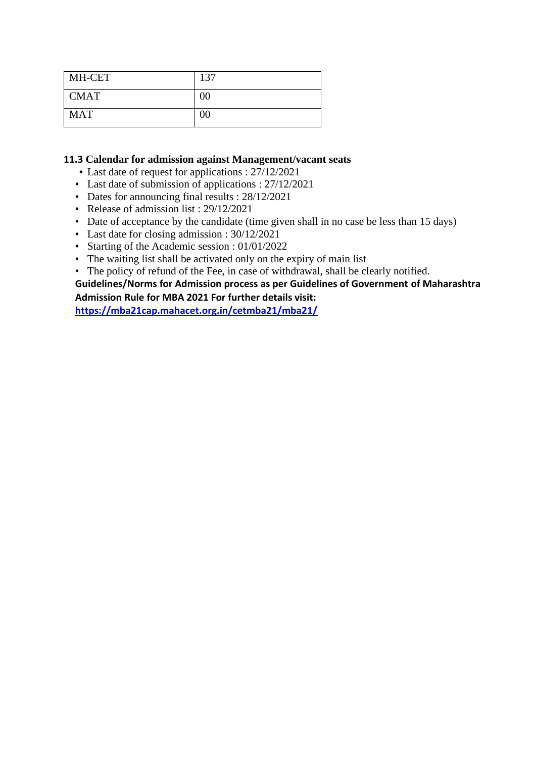| MH-CET      | 137    |
|-------------|--------|
| <b>CMAT</b> | $00\,$ |
| <b>MAT</b>  | $00\,$ |

## **11.3 Calendar for admission against Management/vacant seats**

- Last date of request for applications : 27/12/2021
- Last date of submission of applications : 27/12/2021
- Dates for announcing final results :  $28/12/2021$
- Release of admission list : 29/12/2021
- Date of acceptance by the candidate (time given shall in no case be less than 15 days)
- Last date for closing admission : 30/12/2021
- Starting of the Academic session : 01/01/2022
- The waiting list shall be activated only on the expiry of main list
- The policy of refund of the Fee, in case of withdrawal, shall be clearly notified.

## **Guidelines/Norms for Admission process as per Guidelines of Government of Maharashtra Admission Rule for MBA 2021 For further details visit:**

**<https://mba21cap.mahacet.org.in/cetmba21/mba21/>**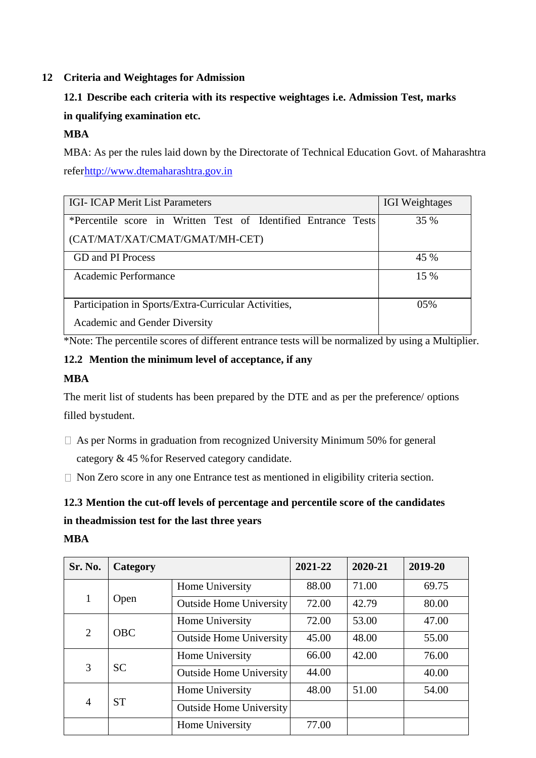## **12 Criteria and Weightages for Admission**

# **12.1 Describe each criteria with its respective weightages i.e. Admission Test, marks in qualifying examination etc.**

## **MBA**

MBA: As per the rules laid down by the Directorate of Technical Education Govt. of Maharashtra refe[rhttp://www.dtemaharashtra.gov.in](http://www.dtemaharashtra.gov.in/)

| <b>IGI-ICAP Merit List Parameters</b>                          | <b>IGI</b> Weightages |
|----------------------------------------------------------------|-----------------------|
| *Percentile score in Written Test of Identified Entrance Tests | 35 %                  |
| (CAT/MAT/XAT/CMAT/GMAT/MH-CET)                                 |                       |
| <b>GD</b> and <b>PI</b> Process                                | 45 %                  |
| Academic Performance                                           | 15 %                  |
| Participation in Sports/Extra-Curricular Activities,           | $0.5\%$               |
| Academic and Gender Diversity                                  |                       |

\*Note: The percentile scores of different entrance tests will be normalized by using a Multiplier.

## **12.2 Mention the minimum level of acceptance, if any**

## **MBA**

The merit list of students has been prepared by the DTE and as per the preference/ options filled bystudent.

- $\Box$  As per Norms in graduation from recognized University Minimum 50% for general category & 45 %for Reserved category candidate.
- $\Box$  Non Zero score in any one Entrance test as mentioned in eligibility criteria section.

# **12.3 Mention the cut-off levels of percentage and percentile score of the candidates**

# **in theadmission test for the last three years**

## **MBA**

| Sr. No.        | Category   |                                | 2021-22 | 2020-21 | 2019-20 |
|----------------|------------|--------------------------------|---------|---------|---------|
|                |            | Home University                | 88.00   | 71.00   | 69.75   |
| 1              | Open       | <b>Outside Home University</b> | 72.00   | 42.79   | 80.00   |
|                | <b>OBC</b> | Home University                | 72.00   | 53.00   | 47.00   |
| 2              |            | <b>Outside Home University</b> | 45.00   | 48.00   | 55.00   |
| 3              | <b>SC</b>  | Home University                | 66.00   | 42.00   | 76.00   |
|                |            | <b>Outside Home University</b> | 44.00   |         | 40.00   |
|                | <b>ST</b>  | Home University                | 48.00   | 51.00   | 54.00   |
| $\overline{4}$ |            | <b>Outside Home University</b> |         |         |         |
|                |            | Home University                | 77.00   |         |         |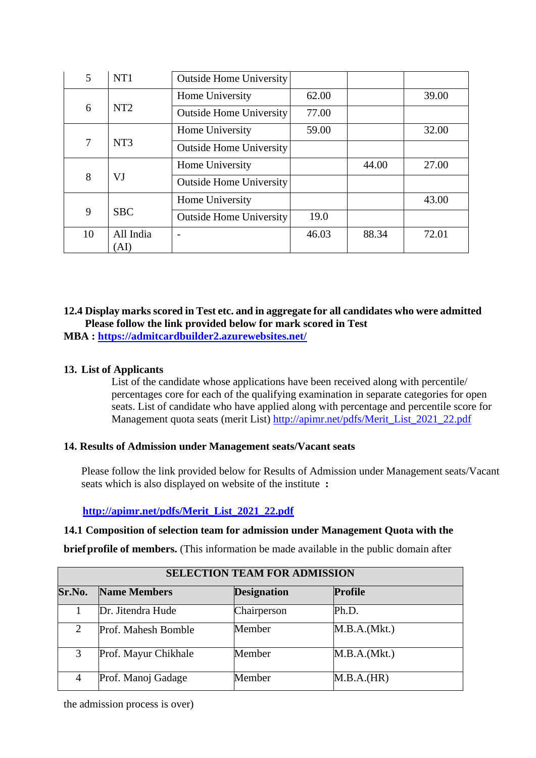| 5  | NT1               | <b>Outside Home University</b> |       |       |       |
|----|-------------------|--------------------------------|-------|-------|-------|
|    |                   | Home University                | 62.00 |       | 39.00 |
| 6  | NT <sub>2</sub>   | <b>Outside Home University</b> | 77.00 |       |       |
|    |                   | Home University                | 59.00 |       | 32.00 |
| 7  | NT <sub>3</sub>   | <b>Outside Home University</b> |       |       |       |
|    |                   | Home University                |       | 44.00 | 27.00 |
| 8  | VJ                | <b>Outside Home University</b> |       |       |       |
|    |                   | Home University                |       |       | 43.00 |
| 9  | <b>SBC</b>        | <b>Outside Home University</b> | 19.0  |       |       |
| 10 | All India<br>`AI) |                                | 46.03 | 88.34 | 72.01 |

# **12.4 Display marks scored in Test etc. and in aggregate for all candidates who were admitted Please follow the link provided below for mark scored in Test**

**MBA :<https://admitcardbuilder2.azurewebsites.net/>**

## **13. List of Applicants**

List of the candidate whose applications have been received along with percentile/ percentages core for each of the qualifying examination in separate categories for open seats. List of candidate who have applied along with percentage and percentile score for Management quota seats (merit List) [http://apimr.net/pdfs/Merit\\_List\\_2021\\_22.pdf](http://apimr.net/pdfs/Merit_List_2021_22.pdf)

## **14. Results of Admission under Management seats/Vacant seats**

Please follow the link provided below for Results of Admission under Management seats/Vacant seats which is also displayed on website of the institute **:**

## **[http://apimr.net/pdfs/Merit\\_List\\_2021\\_22.pdf](http://apimr.net/pdfs/Merit_List_2021_22.pdf)**

## **14.1 Composition of selection team for admission under Management Quota with the**

**brief profile of members.** (This information be made available in the public domain after

|        | <b>SELECTION TEAM FOR ADMISSION</b> |                    |                |  |  |  |
|--------|-------------------------------------|--------------------|----------------|--|--|--|
| Sr.No. | <b>Name Members</b>                 | <b>Designation</b> | <b>Profile</b> |  |  |  |
|        | Dr. Jitendra Hude                   | Chairperson        | Ph.D.          |  |  |  |
| 2      | Prof. Mahesh Bomble                 | Member             | M.B.A.(Mkt.)   |  |  |  |
| 3      | Prof. Mayur Chikhale                | Member             | M.B.A.(Mkt.)   |  |  |  |
| 4      | Prof. Manoj Gadage                  | Member             | M.B.A.(HR)     |  |  |  |

the admission process is over)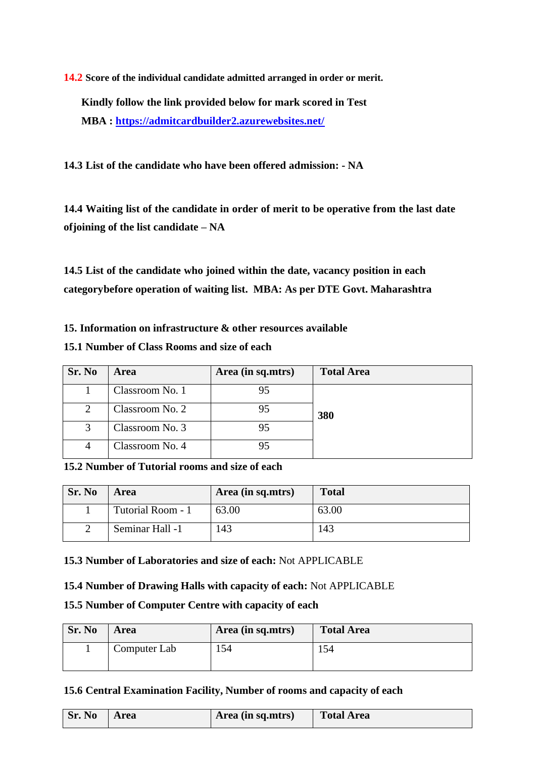**14.2 Score of the individual candidate admitted arranged in order or merit.**

**Kindly follow the link provided below for mark scored in Test MBA :<https://admitcardbuilder2.azurewebsites.net/>**

**14.3 List of the candidate who have been offered admission: - NA**

**14.4 Waiting list of the candidate in order of merit to be operative from the last date ofjoining of the list candidate – NA**

**14.5 List of the candidate who joined within the date, vacancy position in each categorybefore operation of waiting list. MBA: As per DTE Govt. Maharashtra**

**15. Information on infrastructure & other resources available**

## **15.1 Number of Class Rooms and size of each**

| Sr. No | <b>Area</b>     | Area (in sq.mtrs) | <b>Total Area</b> |
|--------|-----------------|-------------------|-------------------|
|        | Classroom No. 1 | 95                |                   |
| 2      | Classroom No. 2 | 95                | 380               |
|        | Classroom No. 3 | 95                |                   |
| 4      | Classroom No. 4 |                   |                   |

**15.2 Number of Tutorial rooms and size of each**

| Sr. No | Area              | Area (in sq.mtrs) | <b>Total</b> |
|--------|-------------------|-------------------|--------------|
|        | Tutorial Room - 1 | 63.00             | 63.00        |
|        | Seminar Hall -1   | 143               | 143          |

**15.3 Number of Laboratories and size of each:** Not APPLICABLE

**15.4 Number of Drawing Halls with capacity of each:** Not APPLICABLE

## **15.5 Number of Computer Centre with capacity of each**

| Sr. No | <b>Area</b>  | Area (in sq.mtrs) | <b>Total Area</b> |
|--------|--------------|-------------------|-------------------|
|        | Computer Lab | 154               | 54ء               |

## **15.6 Central Examination Facility, Number of rooms and capacity of each**

| <b>Sr. No</b> | Area | Area (in sq.mtrs) | Total Area |
|---------------|------|-------------------|------------|
|               |      |                   |            |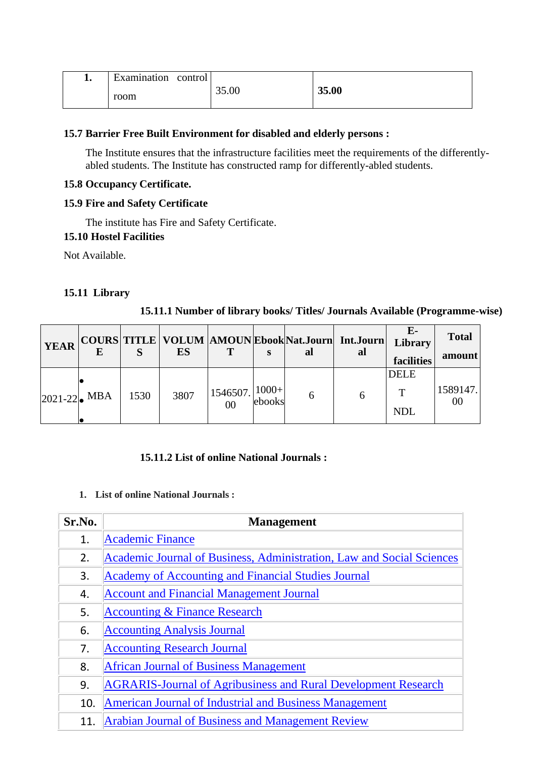| <b>T.</b> | $\blacksquare$<br>control<br>Examination |       |       |
|-----------|------------------------------------------|-------|-------|
|           | room                                     | 35.00 | 35.00 |

## **15.7 Barrier Free Built Environment for disabled and elderly persons :**

The Institute ensures that the infrastructure facilities meet the requirements of the differentlyabled students. The Institute has constructed ramp for differently-abled students.

## **15.8 Occupancy Certificate.**

## **15.9 Fire and Safety Certificate**

The institute has Fire and Safety Certificate.

## **15.10 Hostel Facilities**

Not Available.

## **15.11 Library**

## **15.11.1 Number of library books/ Titles/ Journals Available (Programme-wise)**

| <b>YEAR</b>       |      | ES   | T                           |        | al | COURS TITLE   VOLUM  AMOUN Ebook Nat.Journ Int.Journ<br>al | $E-$<br>Library<br>facilities             | <b>Total</b><br>amount |
|-------------------|------|------|-----------------------------|--------|----|------------------------------------------------------------|-------------------------------------------|------------------------|
| $ 2021 - 22 $ MBA | 1530 | 3807 | $11546507.$ $ 1000+ $<br>00 | ebooks | O  | 6                                                          | <b>DELE</b><br>$\mathbf{T}$<br><b>NDL</b> | 1589147.<br>00         |

## **15.11.2 List of online National Journals :**

## **1. List of online National Journals :**

| Sr.No. | <b>Management</b>                                                     |
|--------|-----------------------------------------------------------------------|
| 1.     | <b>Academic Finance</b>                                               |
| 2.     | Academic Journal of Business, Administration, Law and Social Sciences |
| 3.     | <b>Academy of Accounting and Financial Studies Journal</b>            |
| 4.     | <b>Account and Financial Management Journal</b>                       |
| 5.     | <b>Accounting &amp; Finance Research</b>                              |
| 6.     | <b>Accounting Analysis Journal</b>                                    |
| 7.     | <b>Accounting Research Journal</b>                                    |
| 8.     | <b>African Journal of Business Management</b>                         |
| 9.     | <b>AGRARIS-Journal of Agribusiness and Rural Development Research</b> |
| 10.    | <b>American Journal of Industrial and Business Management</b>         |
| 11.    | Arabian Journal of Business and Management Review                     |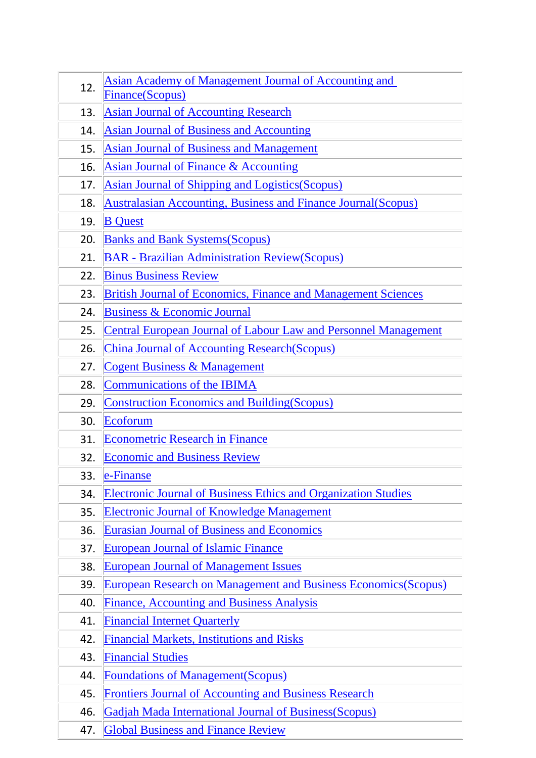| 12. | <b>Asian Academy of Management Journal of Accounting and</b><br>Finance(Scopus) |
|-----|---------------------------------------------------------------------------------|
| 13. | <b>Asian Journal of Accounting Research</b>                                     |
| 14. | <b>Asian Journal of Business and Accounting</b>                                 |
| 15. | <b>Asian Journal of Business and Management</b>                                 |
| 16. | <b>Asian Journal of Finance &amp; Accounting</b>                                |
| 17. | <b>Asian Journal of Shipping and Logistics (Scopus)</b>                         |
| 18. | <b>Australasian Accounting, Business and Finance Journal (Scopus)</b>           |
| 19. | <b>B</b> Quest                                                                  |
| 20. | <b>Banks and Bank Systems (Scopus)</b>                                          |
| 21. | <b>BAR - Brazilian Administration Review(Scopus)</b>                            |
| 22. | <b>Binus Business Review</b>                                                    |
| 23. | <b>British Journal of Economics, Finance and Management Sciences</b>            |
| 24. | <b>Business &amp; Economic Journal</b>                                          |
| 25. | <b>Central European Journal of Labour Law and Personnel Management</b>          |
| 26. | <b>China Journal of Accounting Research (Scopus)</b>                            |
| 27. | <b>Cogent Business &amp; Management</b>                                         |
| 28. | <b>Communications of the IBIMA</b>                                              |
| 29. | <b>Construction Economics and Building (Scopus)</b>                             |
| 30. | Ecoforum                                                                        |
| 31. | <b>Econometric Research in Finance</b>                                          |
| 32. | <b>Economic and Business Review</b>                                             |
| 33. | e-Finanse                                                                       |
| 34. | <b>Electronic Journal of Business Ethics and Organization Studies</b>           |
| 35. | <b>Electronic Journal of Knowledge Management</b>                               |
| 36. | <b>Eurasian Journal of Business and Economics</b>                               |
| 37. | <b>European Journal of Islamic Finance</b>                                      |
| 38. | <b>European Journal of Management Issues</b>                                    |
| 39. | <b>European Research on Management and Business Economics (Scopus)</b>          |
| 40. | <b>Finance, Accounting and Business Analysis</b>                                |
| 41. | <b>Financial Internet Quarterly</b>                                             |
| 42. | <b>Financial Markets, Institutions and Risks</b>                                |
| 43. | <b>Financial Studies</b>                                                        |
| 44. | <b>Foundations of Management (Scopus)</b>                                       |
| 45. | <b>Frontiers Journal of Accounting and Business Research</b>                    |
| 46. | <b>Gadjah Mada International Journal of Business (Scopus)</b>                   |
| 47. | <b>Global Business and Finance Review</b>                                       |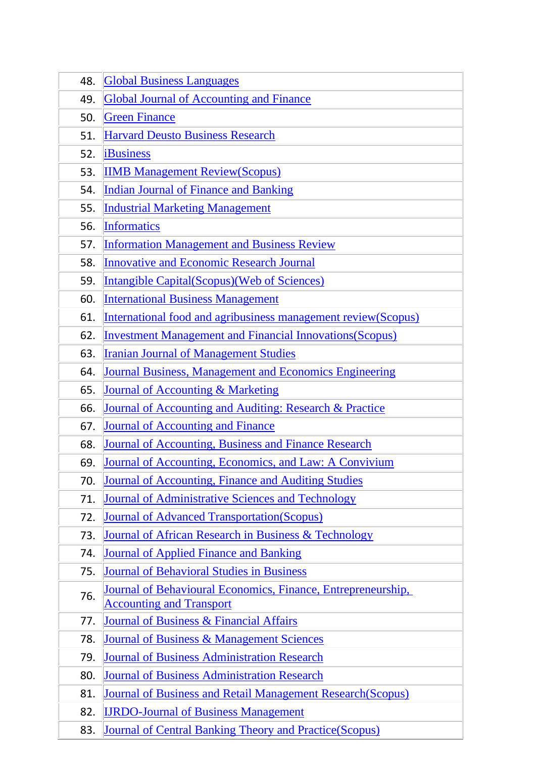| 48. | <b>Global Business Languages</b>                                                                |
|-----|-------------------------------------------------------------------------------------------------|
| 49. | <b>Global Journal of Accounting and Finance</b>                                                 |
| 50. | <b>Green Finance</b>                                                                            |
| 51. | <b>Harvard Deusto Business Research</b>                                                         |
| 52. | <b>iBusiness</b>                                                                                |
| 53. | <b>IIMB Management Review(Scopus)</b>                                                           |
| 54. | <b>Indian Journal of Finance and Banking</b>                                                    |
| 55. | <b>Industrial Marketing Management</b>                                                          |
| 56. | <b>Informatics</b>                                                                              |
| 57. | <b>Information Management and Business Review</b>                                               |
| 58. | <b>Innovative and Economic Research Journal</b>                                                 |
| 59. | <b>Intangible Capital (Scopus) (Web of Sciences)</b>                                            |
| 60. | <b>International Business Management</b>                                                        |
| 61. | International food and agribusiness management review(Scopus)                                   |
| 62. | <b>Investment Management and Financial Innovations (Scopus)</b>                                 |
| 63. | <b>Iranian Journal of Management Studies</b>                                                    |
| 64. | <b>Journal Business, Management and Economics Engineering</b>                                   |
| 65. | <b>Journal of Accounting &amp; Marketing</b>                                                    |
| 66. | Journal of Accounting and Auditing: Research & Practice                                         |
| 67. | <b>Journal of Accounting and Finance</b>                                                        |
| 68. | Journal of Accounting, Business and Finance Research                                            |
| 69. | Journal of Accounting, Economics, and Law: A Convivium                                          |
| 70. | Journal of Accounting, Finance and Auditing Studies                                             |
| 71. | <b>Journal of Administrative Sciences and Technology</b>                                        |
| 72. | <b>Journal of Advanced Transportation (Scopus)</b>                                              |
| 73. | Journal of African Research in Business & Technology                                            |
| 74. | <b>Journal of Applied Finance and Banking</b>                                                   |
| 75. | <b>Journal of Behavioral Studies in Business</b>                                                |
| 76. | Journal of Behavioural Economics, Finance, Entrepreneurship,<br><b>Accounting and Transport</b> |
| 77. | Journal of Business & Financial Affairs                                                         |
| 78. | <b>Journal of Business &amp; Management Sciences</b>                                            |
| 79. | <b>Journal of Business Administration Research</b>                                              |
| 80. | <b>Journal of Business Administration Research</b>                                              |
| 81. | <b>Journal of Business and Retail Management Research (Scopus)</b>                              |
| 82. | <b>IJRDO-Journal of Business Management</b>                                                     |
| 83. | <b>Journal of Central Banking Theory and Practice (Scopus)</b>                                  |

 $\overline{\phantom{a}}$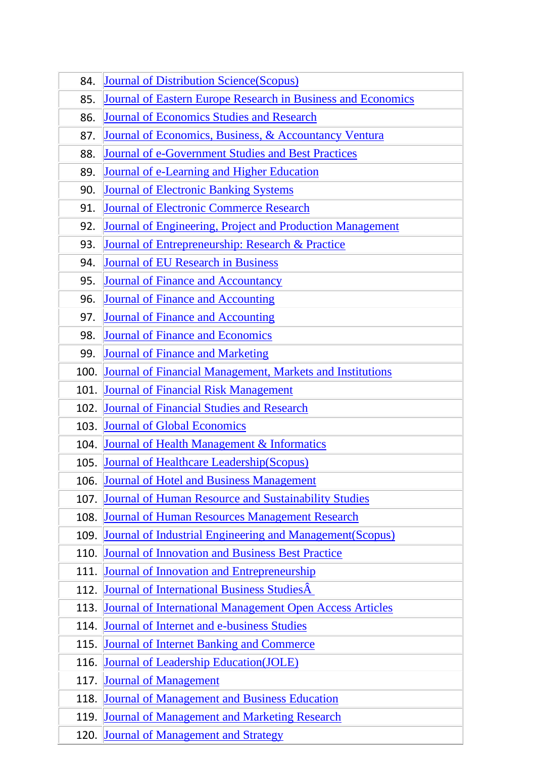| 84.  | <b>Journal of Distribution Science (Scopus)</b>                 |  |  |  |
|------|-----------------------------------------------------------------|--|--|--|
| 85.  | Journal of Eastern Europe Research in Business and Economics    |  |  |  |
| 86.  | <b>Journal of Economics Studies and Research</b>                |  |  |  |
| 87.  | Journal of Economics, Business, & Accountancy Ventura           |  |  |  |
| 88.  | <b>Journal of e-Government Studies and Best Practices</b>       |  |  |  |
| 89.  | Journal of e-Learning and Higher Education                      |  |  |  |
| 90.  | <b>Journal of Electronic Banking Systems</b>                    |  |  |  |
| 91.  | <b>Journal of Electronic Commerce Research</b>                  |  |  |  |
| 92.  | Journal of Engineering, Project and Production Management       |  |  |  |
| 93.  | Journal of Entrepreneurship: Research & Practice                |  |  |  |
| 94.  | <b>Journal of EU Research in Business</b>                       |  |  |  |
| 95.  | <b>Journal of Finance and Accountancy</b>                       |  |  |  |
| 96.  | <b>Journal of Finance and Accounting</b>                        |  |  |  |
| 97.  | <b>Journal of Finance and Accounting</b>                        |  |  |  |
| 98.  | Journal of Finance and Economics                                |  |  |  |
| 99.  | <b>Journal of Finance and Marketing</b>                         |  |  |  |
| 100. | Journal of Financial Management, Markets and Institutions       |  |  |  |
| 101. | <b>Journal of Financial Risk Management</b>                     |  |  |  |
| 102. | <b>Journal of Financial Studies and Research</b>                |  |  |  |
| 103. | <b>Journal of Global Economics</b>                              |  |  |  |
| 104. | <b>Journal of Health Management &amp; Informatics</b>           |  |  |  |
| 105. | <b>Journal of Healthcare Leadership (Scopus)</b>                |  |  |  |
| 106. | <b>Journal of Hotel and Business Management</b>                 |  |  |  |
| 107. | <b>Journal of Human Resource and Sustainability Studies</b>     |  |  |  |
| 108. | <b>Journal of Human Resources Management Research</b>           |  |  |  |
| 109. | Journal of Industrial Engineering and Management(Scopus)        |  |  |  |
| 110. | <b>Journal of Innovation and Business Best Practice</b>         |  |  |  |
| 111. | <b>Journal of Innovation and Entrepreneurship</b>               |  |  |  |
| 112. | Journal of International Business Studies Â                     |  |  |  |
| 113. | <b>Journal of International Management Open Access Articles</b> |  |  |  |
| 114. | Journal of Internet and e-business Studies                      |  |  |  |
| 115. | <b>Journal of Internet Banking and Commerce</b>                 |  |  |  |
| 116. | <b>Journal of Leadership Education(JOLE)</b>                    |  |  |  |
| 117. | <b>Journal of Management</b>                                    |  |  |  |
| 118. | <b>Journal of Management and Business Education</b>             |  |  |  |
| 119. | <b>Journal of Management and Marketing Research</b>             |  |  |  |
| 120. | <b>Journal of Management and Strategy</b>                       |  |  |  |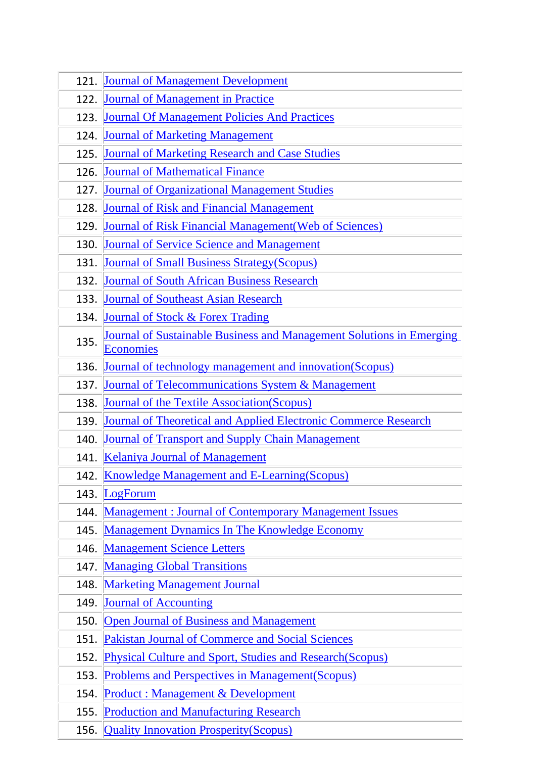| 121. | <b>Journal of Management Development</b>                               |  |  |
|------|------------------------------------------------------------------------|--|--|
| 122. | <b>Journal of Management in Practice</b>                               |  |  |
| 123. | <b>Journal Of Management Policies And Practices</b>                    |  |  |
| 124. | <b>Journal of Marketing Management</b>                                 |  |  |
| 125. | <b>Journal of Marketing Research and Case Studies</b>                  |  |  |
| 126. | <b>Journal of Mathematical Finance</b>                                 |  |  |
| 127. | <b>Journal of Organizational Management Studies</b>                    |  |  |
| 128. | <b>Journal of Risk and Financial Management</b>                        |  |  |
| 129. | <b>Journal of Risk Financial Management (Web of Sciences)</b>          |  |  |
| 130. | <b>Journal of Service Science and Management</b>                       |  |  |
| 131. | <b>Journal of Small Business Strategy (Scopus)</b>                     |  |  |
| 132. | <b>Journal of South African Business Research</b>                      |  |  |
| 133. | <b>Journal of Southeast Asian Research</b>                             |  |  |
| 134. | Journal of Stock & Forex Trading                                       |  |  |
| 135. | Journal of Sustainable Business and Management Solutions in Emerging   |  |  |
|      | <b>Economies</b>                                                       |  |  |
| 136. | Journal of technology management and innovation (Scopus)               |  |  |
| 137. | <b>Journal of Telecommunications System &amp; Management</b>           |  |  |
| 138. | <b>Journal of the Textile Association (Scopus)</b>                     |  |  |
| 139. | <b>Journal of Theoretical and Applied Electronic Commerce Research</b> |  |  |
| 140. | <b>Journal of Transport and Supply Chain Management</b>                |  |  |
| 141. | <b>Kelaniya Journal of Management</b>                                  |  |  |
| 142  | <b>Knowledge Management and E-Learning (Scopus)</b>                    |  |  |
| 143. | LogForum                                                               |  |  |
| 144. | <b>Management: Journal of Contemporary Management Issues</b>           |  |  |
| 145. | <b>Management Dynamics In The Knowledge Economy</b>                    |  |  |
| 146. | <b>Management Science Letters</b>                                      |  |  |
| 147. | <b>Managing Global Transitions</b>                                     |  |  |
| 148. | <b>Marketing Management Journal</b>                                    |  |  |
| 149. | <b>Journal of Accounting</b>                                           |  |  |
| 150. | <b>Open Journal of Business and Management</b>                         |  |  |
| 151. | <b>Pakistan Journal of Commerce and Social Sciences</b>                |  |  |
| 152. | <b>Physical Culture and Sport, Studies and Research (Scopus)</b>       |  |  |
| 153. | <b>Problems and Perspectives in Management (Scopus)</b>                |  |  |
| 154. | <b>Product: Management &amp; Development</b>                           |  |  |
| 155. | <b>Production and Manufacturing Research</b>                           |  |  |
| 156. | <b>Quality Innovation Prosperity (Scopus)</b>                          |  |  |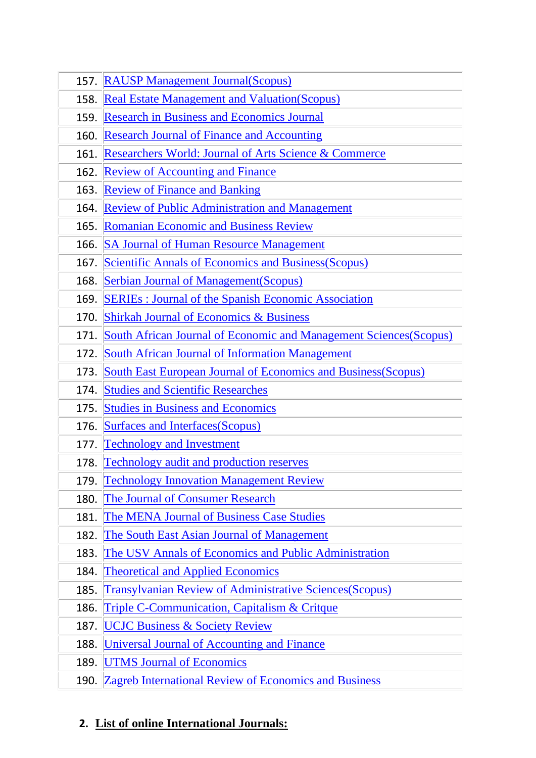| 157. | <b>RAUSP Management Journal (Scopus)</b>                                  |  |  |  |
|------|---------------------------------------------------------------------------|--|--|--|
| 158. | <b>Real Estate Management and Valuation (Scopus)</b>                      |  |  |  |
| 159. | <b>Research in Business and Economics Journal</b>                         |  |  |  |
| 160. | <b>Research Journal of Finance and Accounting</b>                         |  |  |  |
| 161. | Researchers World: Journal of Arts Science & Commerce                     |  |  |  |
| 162. | <b>Review of Accounting and Finance</b>                                   |  |  |  |
| 163. | <b>Review of Finance and Banking</b>                                      |  |  |  |
| 164. | <b>Review of Public Administration and Management</b>                     |  |  |  |
| 165. | <b>Romanian Economic and Business Review</b>                              |  |  |  |
| 166. | <b>SA Journal of Human Resource Management</b>                            |  |  |  |
| 167. | <b>Scientific Annals of Economics and Business (Scopus)</b>               |  |  |  |
| 168. | <b>Serbian Journal of Management (Scopus)</b>                             |  |  |  |
| 169. | <b>SERIES</b> : Journal of the Spanish Economic Association               |  |  |  |
| 170. | <b>Shirkah Journal of Economics &amp; Business</b>                        |  |  |  |
| 171. | <b>South African Journal of Economic and Management Sciences (Scopus)</b> |  |  |  |
| 172. | <b>South African Journal of Information Management</b>                    |  |  |  |
| 173. | <b>South East European Journal of Economics and Business (Scopus)</b>     |  |  |  |
| 174. | <b>Studies and Scientific Researches</b>                                  |  |  |  |
|      |                                                                           |  |  |  |
| 175. | <b>Studies in Business and Economics</b>                                  |  |  |  |
| 176. | <b>Surfaces and Interfaces (Scopus)</b>                                   |  |  |  |
| 177. | <b>Technology and Investment</b>                                          |  |  |  |
| 178. | <b>Technology audit and production reserves</b>                           |  |  |  |
| 179. | <b>Technology Innovation Management Review</b>                            |  |  |  |
| 180. | <b>The Journal of Consumer Research</b>                                   |  |  |  |
| 181. | The MENA Journal of Business Case Studies                                 |  |  |  |
| 182. | The South East Asian Journal of Management                                |  |  |  |
| 183. | The USV Annals of Economics and Public Administration                     |  |  |  |
| 184. | <b>Theoretical and Applied Economics</b>                                  |  |  |  |
| 185. | Transylvanian Review of Administrative Sciences(Scopus)                   |  |  |  |
| 186. | <b>Triple C-Communication, Capitalism &amp; Critque</b>                   |  |  |  |
| 187. | <b>UCJC Business &amp; Society Review</b>                                 |  |  |  |
| 188. | Universal Journal of Accounting and Finance                               |  |  |  |
| 189. | <b>UTMS Journal of Economics</b>                                          |  |  |  |

# **2. List of online International Journals:**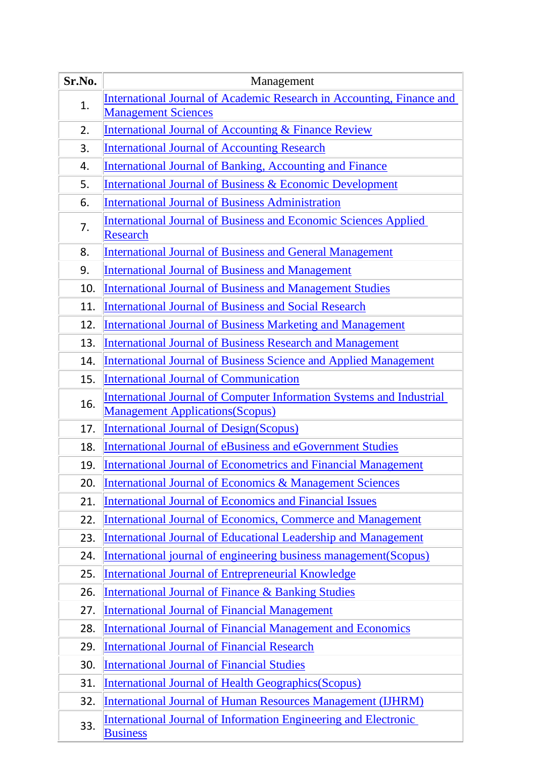| Sr.No. | Management                                                                                                             |  |  |  |
|--------|------------------------------------------------------------------------------------------------------------------------|--|--|--|
| 1.     | International Journal of Academic Research in Accounting, Finance and                                                  |  |  |  |
|        | <b>Management Sciences</b>                                                                                             |  |  |  |
| 2.     | <b>International Journal of Accounting &amp; Finance Review</b>                                                        |  |  |  |
| 3.     | <b>International Journal of Accounting Research</b>                                                                    |  |  |  |
| 4.     | <b>International Journal of Banking, Accounting and Finance</b>                                                        |  |  |  |
| 5.     | <b>International Journal of Business &amp; Economic Development</b>                                                    |  |  |  |
| 6.     | <b>International Journal of Business Administration</b>                                                                |  |  |  |
| 7.     | <b>International Journal of Business and Economic Sciences Applied</b>                                                 |  |  |  |
|        | <b>Research</b>                                                                                                        |  |  |  |
| 8.     | <b>International Journal of Business and General Management</b>                                                        |  |  |  |
| 9.     | <b>International Journal of Business and Management</b>                                                                |  |  |  |
| 10.    | <b>International Journal of Business and Management Studies</b>                                                        |  |  |  |
| 11.    | <b>International Journal of Business and Social Research</b>                                                           |  |  |  |
| 12.    | <b>International Journal of Business Marketing and Management</b>                                                      |  |  |  |
| 13.    | <b>International Journal of Business Research and Management</b>                                                       |  |  |  |
| 14.    | <b>International Journal of Business Science and Applied Management</b>                                                |  |  |  |
| 15.    | <b>International Journal of Communication</b>                                                                          |  |  |  |
| 16.    | <b>International Journal of Computer Information Systems and Industrial</b><br><b>Management Applications (Scopus)</b> |  |  |  |
| 17.    | <b>International Journal of Design (Scopus)</b>                                                                        |  |  |  |
| 18.    | <b>International Journal of eBusiness and eGovernment Studies</b>                                                      |  |  |  |
| 19.    | <b>International Journal of Econometrics and Financial Management</b>                                                  |  |  |  |
| 20.    | International Journal of Economics & Management Sciences                                                               |  |  |  |
| 21.    | <b>International Journal of Economics and Financial Issues</b>                                                         |  |  |  |
| 22.    | <b>International Journal of Economics, Commerce and Management</b>                                                     |  |  |  |
| 23.    | <b>International Journal of Educational Leadership and Management</b>                                                  |  |  |  |
| 24.    | International journal of engineering business management (Scopus)                                                      |  |  |  |
| 25.    | <b>International Journal of Entrepreneurial Knowledge</b>                                                              |  |  |  |
| 26.    | <b>International Journal of Finance &amp; Banking Studies</b>                                                          |  |  |  |
| 27.    | <b>International Journal of Financial Management</b>                                                                   |  |  |  |
| 28.    | <b>International Journal of Financial Management and Economics</b>                                                     |  |  |  |
| 29.    | <b>International Journal of Financial Research</b>                                                                     |  |  |  |
| 30.    | <b>International Journal of Financial Studies</b>                                                                      |  |  |  |
| 31.    | <b>International Journal of Health Geographics (Scopus)</b>                                                            |  |  |  |
| 32.    | <b>International Journal of Human Resources Management (IJHRM)</b>                                                     |  |  |  |
| 33.    | <b>International Journal of Information Engineering and Electronic</b><br><b>Business</b>                              |  |  |  |

I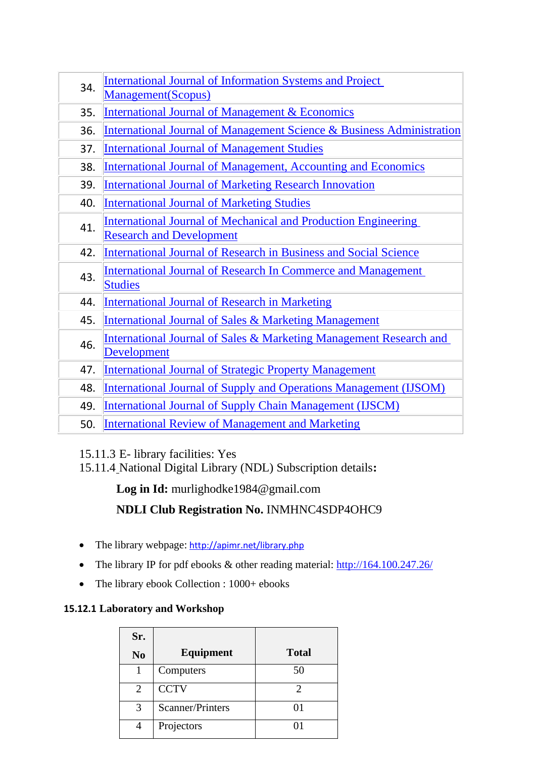| 34.                                                                                                             | <b>International Journal of Information Systems and Project</b>                  |     |
|-----------------------------------------------------------------------------------------------------------------|----------------------------------------------------------------------------------|-----|
|                                                                                                                 | Management(Scopus)                                                               |     |
| 35.                                                                                                             | <b>International Journal of Management &amp; Economics</b>                       |     |
| 36.                                                                                                             | <b>International Journal of Management Science &amp; Business Administration</b> |     |
| 37.                                                                                                             | <b>International Journal of Management Studies</b>                               |     |
| 38.                                                                                                             | <b>International Journal of Management, Accounting and Economics</b>             |     |
| 39.                                                                                                             | <b>International Journal of Marketing Research Innovation</b>                    |     |
| 40.                                                                                                             | <b>International Journal of Marketing Studies</b>                                |     |
| <b>International Journal of Mechanical and Production Engineering</b><br>41.<br><b>Research and Development</b> |                                                                                  |     |
|                                                                                                                 |                                                                                  | 42. |
| 43.                                                                                                             | International Journal of Research In Commerce and Management                     |     |
| <b>Studies</b>                                                                                                  |                                                                                  |     |
| 44.                                                                                                             | <b>International Journal of Research in Marketing</b>                            |     |
| 45.                                                                                                             | <b>International Journal of Sales &amp; Marketing Management</b>                 |     |
| 46.                                                                                                             | International Journal of Sales & Marketing Management Research and               |     |
|                                                                                                                 | <b>Development</b>                                                               |     |
| 47.                                                                                                             | <b>International Journal of Strategic Property Management</b>                    |     |
| 48.                                                                                                             | <b>International Journal of Supply and Operations Management (IJSOM)</b>         |     |
| 49.                                                                                                             | <b>International Journal of Supply Chain Management (IJSCM)</b>                  |     |
| 50.                                                                                                             | <b>International Review of Management and Marketing</b>                          |     |

15.11.3 E- library facilities: Yes

15.11.4 National Digital Library (NDL) Subscription details**:**

**Log in Id:** [murlighodke1984@gmail.com](mailto:murlighodke1984@gmail.com)

# **NDLI Club Registration No.** INMHNC4SDP4OHC9

- The library webpage: <http://apimr.net/library.php>
- The library IP for pdf ebooks & other reading material:<http://164.100.247.26/>
- The library ebook Collection : 1000+ ebooks

## **15.12.1 Laboratory and Workshop**

| Sr.            |                  |              |
|----------------|------------------|--------------|
| N <sub>0</sub> | Equipment        | <b>Total</b> |
|                | Computers        | 50           |
| $\overline{2}$ | <b>CCTV</b>      | 2            |
| 3              | Scanner/Printers | 01           |
|                | Projectors       |              |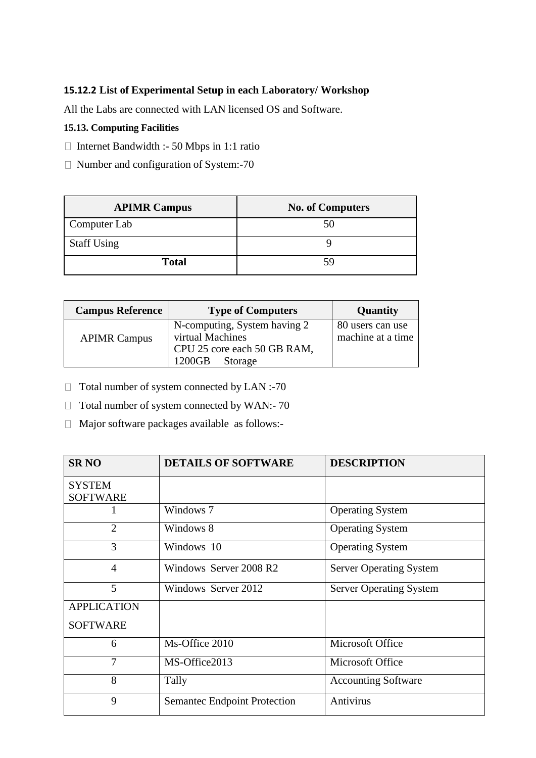## **15.12.2 List of Experimental Setup in each Laboratory/ Workshop**

All the Labs are connected with LAN licensed OS and Software.

## **15.13. Computing Facilities**

- $\Box$  Internet Bandwidth :- 50 Mbps in 1:1 ratio
- $\Box$  Number and configuration of System:-70

| <b>APIMR Campus</b> | <b>No. of Computers</b> |
|---------------------|-------------------------|
| Computer Lab        | 50                      |
| <b>Staff Using</b>  |                         |
| <b>Total</b>        | 59                      |

| <b>Campus Reference</b> | <b>Type of Computers</b>                                                        | Quantity                              |
|-------------------------|---------------------------------------------------------------------------------|---------------------------------------|
| <b>APIMR Campus</b>     | N-computing, System having 2<br>virtual Machines<br>CPU 25 core each 50 GB RAM, | 80 users can use<br>machine at a time |
|                         | 1200GB<br>Storage                                                               |                                       |

- $\Box$  Total number of system connected by LAN :-70
- $\Box$  Total number of system connected by WAN:-70
- Major software packages available as follows:-

| <b>SR NO</b>                     | <b>DETAILS OF SOFTWARE</b>          | <b>DESCRIPTION</b>             |
|----------------------------------|-------------------------------------|--------------------------------|
| <b>SYSTEM</b><br><b>SOFTWARE</b> |                                     |                                |
|                                  | Windows 7                           | <b>Operating System</b>        |
| $\overline{2}$                   | Windows 8                           | <b>Operating System</b>        |
| 3                                | Windows 10                          | <b>Operating System</b>        |
| $\overline{4}$                   | Windows Server 2008 R2              | <b>Server Operating System</b> |
| 5                                | Windows Server 2012                 | <b>Server Operating System</b> |
| <b>APPLICATION</b>               |                                     |                                |
| <b>SOFTWARE</b>                  |                                     |                                |
| 6                                | Ms-Office 2010                      | Microsoft Office               |
| 7                                | MS-Office2013                       | Microsoft Office               |
| 8                                | Tally                               | <b>Accounting Software</b>     |
| 9                                | <b>Semantec Endpoint Protection</b> | Antivirus                      |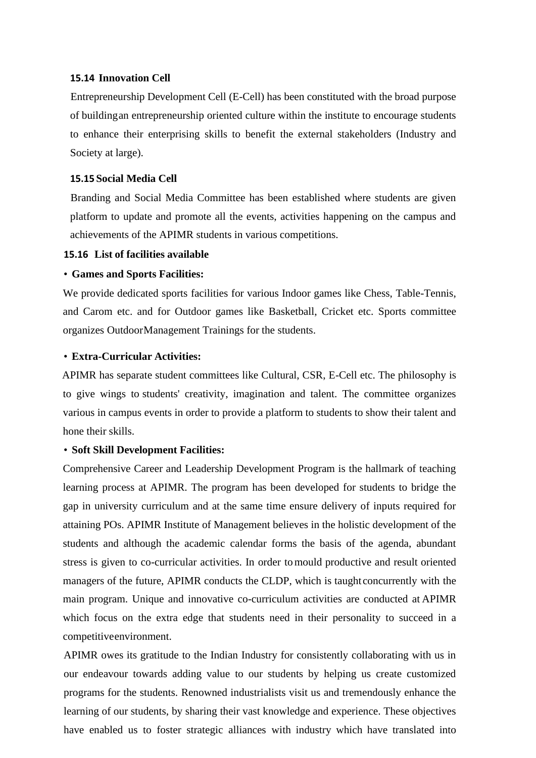#### **15.14 Innovation Cell**

Entrepreneurship Development Cell (E-Cell) has been constituted with the broad purpose of buildingan entrepreneurship oriented culture within the institute to encourage students to enhance their enterprising skills to benefit the external stakeholders (Industry and Society at large).

#### **15.15 Social Media Cell**

Branding and Social Media Committee has been established where students are given platform to update and promote all the events, activities happening on the campus and achievements of the APIMR students in various competitions.

#### **15.16 List of facilities available**

#### • **Games and Sports Facilities:**

We provide dedicated sports facilities for various Indoor games like Chess, Table-Tennis, and Carom etc. and for Outdoor games like Basketball, Cricket etc. Sports committee organizes OutdoorManagement Trainings for the students.

#### • **Extra-Curricular Activities:**

APIMR has separate student committees like Cultural, CSR, E-Cell etc. The philosophy is to give wings to students' creativity, imagination and talent. The committee organizes various in campus events in order to provide a platform to students to show their talent and hone their skills.

#### • **Soft Skill Development Facilities:**

Comprehensive Career and Leadership Development Program is the hallmark of teaching learning process at APIMR. The program has been developed for students to bridge the gap in university curriculum and at the same time ensure delivery of inputs required for attaining POs. APIMR Institute of Management believes in the holistic development of the students and although the academic calendar forms the basis of the agenda, abundant stress is given to co-curricular activities. In order tomould productive and result oriented managers of the future, APIMR conducts the CLDP, which is taught concurrently with the main program. Unique and innovative co-curriculum activities are conducted at APIMR which focus on the extra edge that students need in their personality to succeed in a competitiveenvironment.

APIMR owes its gratitude to the Indian Industry for consistently collaborating with us in our endeavour towards adding value to our students by helping us create customized programs for the students. Renowned industrialists visit us and tremendously enhance the learning of our students, by sharing their vast knowledge and experience. These objectives have enabled us to foster strategic alliances with industry which have translated into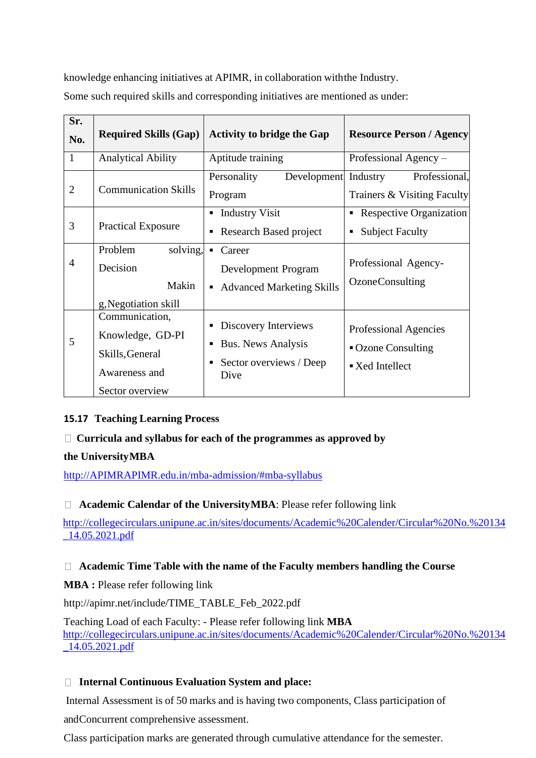knowledge enhancing initiatives at APIMR, in collaboration withthe Industry.

Some such required skills and corresponding initiatives are mentioned as under:

| Sr.<br>No.     | <b>Required Skills (Gap)</b>                                                              | <b>Activity to bridge the Gap</b>                                                    | <b>Resource Person / Agency</b>                                                    |
|----------------|-------------------------------------------------------------------------------------------|--------------------------------------------------------------------------------------|------------------------------------------------------------------------------------|
| $\mathbf{1}$   | <b>Analytical Ability</b>                                                                 | Aptitude training                                                                    | Professional Agency –                                                              |
|                |                                                                                           | Development Industry<br>Personality                                                  | Professional,                                                                      |
| $\overline{2}$ | <b>Communication Skills</b>                                                               | Program                                                                              | Trainers & Visiting Faculty                                                        |
|                |                                                                                           | <b>Industry Visit</b><br>٠                                                           | Respective Organization<br>٠                                                       |
| 3              | <b>Practical Exposure</b>                                                                 | Research Based project                                                               | <b>Subject Faculty</b><br>$\blacksquare$                                           |
|                | solving,<br>Problem                                                                       | Career<br>$\blacksquare$                                                             |                                                                                    |
| 4              | Decision                                                                                  | Development Program                                                                  | Professional Agency-                                                               |
|                | Makin                                                                                     | <b>Advanced Marketing Skills</b>                                                     | <b>OzoneConsulting</b>                                                             |
|                | g, Negotiation skill                                                                      |                                                                                      |                                                                                    |
| 5              | Communication,<br>Knowledge, GD-PI<br>Skills, General<br>Awareness and<br>Sector overview | Discovery Interviews<br><b>Bus. News Analysis</b><br>Sector overviews / Deep<br>Dive | Professional Agencies<br>• Ozone Consulting<br>$\blacktriangleright$ Xed Intellect |

## **15.17 Teaching Learning Process**

## **Curricula and syllabus for each of the programmes as approved by**

## **the UniversityMBA**

[http://APIMRAPIMR.edu.in/mba-admission/#mba-syllabus](http://indiraiimp.edu.in/mba-admission/#mba-syllabus)

## □ **Academic Calendar of the UniversityMBA**: Please refer following link

[http://collegecirculars.unipune.ac.in/sites/documents/Academic%20Calender/Circular%20No.%20134](http://collegecirculars.unipune.ac.in/sites/documents/Academic%20Calender/Circular%20No.%20134_14.05.2021.pdf) [\\_14.05.2021.pdf](http://collegecirculars.unipune.ac.in/sites/documents/Academic%20Calender/Circular%20No.%20134_14.05.2021.pdf)

## **Academic Time Table with the name of the Faculty members handling the Course**

**MBA :** Please refer following link

http://apimr.net/include/TIME\_TABLE\_Feb\_2022.pdf

Teaching Load of each Faculty: - Please refer following link **MBA** [http://collegecirculars.unipune.ac.in/sites/documents/Academic%20Calender/Circular%20No.%20134](http://collegecirculars.unipune.ac.in/sites/documents/Academic%20Calender/Circular%20No.%20134_14.05.2021.pdf) [\\_14.05.2021.pdf](http://collegecirculars.unipune.ac.in/sites/documents/Academic%20Calender/Circular%20No.%20134_14.05.2021.pdf)

## **Internal Continuous Evaluation System and place:**

Internal Assessment is of 50 marks and is having two components, Class participation of

andConcurrent comprehensive assessment.

Class participation marks are generated through cumulative attendance for the semester.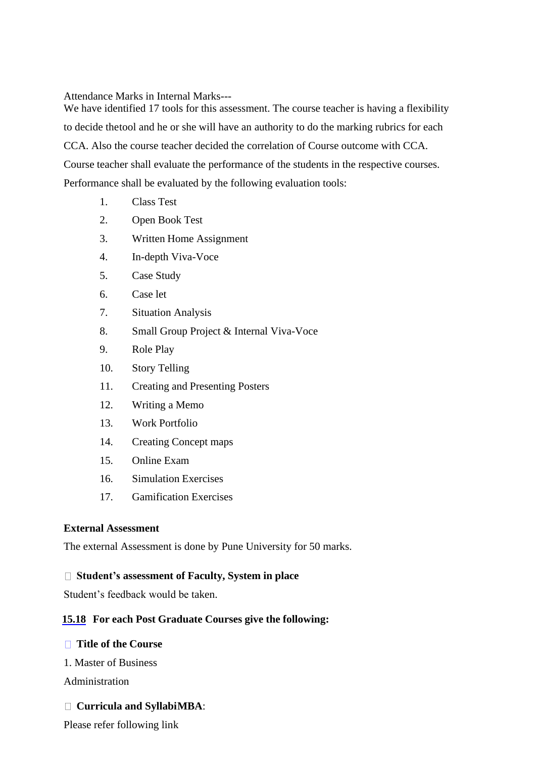Attendance Marks in Internal Marks---

We have identified 17 tools for this assessment. The course teacher is having a flexibility to decide thetool and he or she will have an authority to do the marking rubrics for each CCA. Also the course teacher decided the correlation of Course outcome with CCA. Course teacher shall evaluate the performance of the students in the respective courses. Performance shall be evaluated by the following evaluation tools:

- 1. Class Test
- 2. Open Book Test
- 3. Written Home Assignment
- 4. In-depth Viva-Voce
- 5. Case Study
- 6. Case let
- 7. Situation Analysis
- 8. Small Group Project & Internal Viva-Voce
- 9. Role Play
- 10. Story Telling
- 11. Creating and Presenting Posters
- 12. Writing a Memo
- 13. Work Portfolio
- 14. Creating Concept maps
- 15. Online Exam
- 16. Simulation Exercises
- 17. Gamification Exercises

## **External Assessment**

The external Assessment is done by Pune University for 50 marks.

## **Student's assessment of Faculty, System in place**

Student's feedback would be taken.

## **15.18 For each Post Graduate Courses give the following:**

## **Title of the Course**

1. Master of Business

Administration

## **Curricula and SyllabiMBA**:

Please refer following link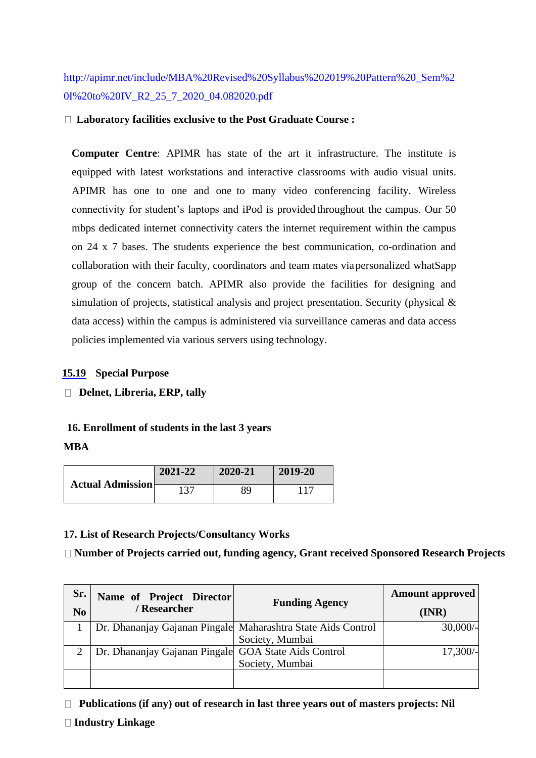http://apimr.net/include/MBA%20Revised%20Syllabus%202019%20Pattern%20\_Sem%2 0I%20to%20IV\_R2\_25\_7\_2020\_04.082020.pdf

#### **Laboratory facilities exclusive to the Post Graduate Course :**

**Computer Centre**: APIMR has state of the art it infrastructure. The institute is equipped with latest workstations and interactive classrooms with audio visual units. APIMR has one to one and one to many video conferencing facility. Wireless connectivity for student's laptops and iPod is provided throughout the campus. Our 50 mbps dedicated internet connectivity caters the internet requirement within the campus on 24 x 7 bases. The students experience the best communication, co-ordination and collaboration with their faculty, coordinators and team mates viapersonalized whatSapp group of the concern batch. APIMR also provide the facilities for designing and simulation of projects, statistical analysis and project presentation. Security (physical  $\&$ data access) within the campus is administered via surveillance cameras and data access policies implemented via various servers using technology.

#### **15.19 Special Purpose**

## **Delnet, Libreria, ERP, tally**

#### **16. Enrollment of students in the last 3 years**

#### **MBA**

| <b>Actual Admission</b> | 2021-22 | 2020-21 | 2019-20 |
|-------------------------|---------|---------|---------|
|                         |         | 89      |         |

#### **17. List of Research Projects/Consultancy Works**

**Number of Projects carried out, funding agency, Grant received Sponsored Research Projects**

| Sr.<br>N <sub>0</sub> | Name of Project Director<br>/ Researcher             | <b>Funding Agency</b>                                        | <b>Amount approved</b><br>(INR) |
|-----------------------|------------------------------------------------------|--------------------------------------------------------------|---------------------------------|
|                       |                                                      | Dr. Dhananjay Gajanan Pingale Maharashtra State Aids Control | 30,000/                         |
|                       |                                                      | Society, Mumbai                                              |                                 |
|                       | Dr. Dhananjay Gajanan Pingale GOA State Aids Control |                                                              | $17,300/-$                      |
|                       |                                                      | Society, Mumbai                                              |                                 |
|                       |                                                      |                                                              |                                 |

**Publications (if any) out of research in last three years out of masters projects: Nil**

## **Industry Linkage**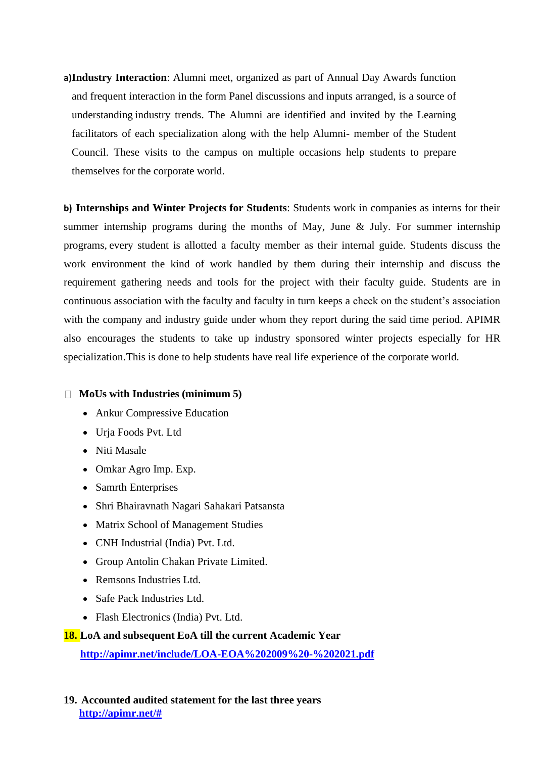**a)Industry Interaction**: Alumni meet, organized as part of Annual Day Awards function and frequent interaction in the form Panel discussions and inputs arranged, is a source of understanding industry trends. The Alumni are identified and invited by the Learning facilitators of each specialization along with the help Alumni- member of the Student Council. These visits to the campus on multiple occasions help students to prepare themselves for the corporate world.

**b) Internships and Winter Projects for Students**: Students work in companies as interns for their summer internship programs during the months of May, June & July. For summer internship programs, every student is allotted a faculty member as their internal guide. Students discuss the work environment the kind of work handled by them during their internship and discuss the requirement gathering needs and tools for the project with their faculty guide. Students are in continuous association with the faculty and faculty in turn keeps a check on the student's association with the company and industry guide under whom they report during the said time period. APIMR also encourages the students to take up industry sponsored winter projects especially for HR specialization.This is done to help students have real life experience of the corporate world.

## **MoUs with Industries (minimum 5)**

- Ankur Compressive Education
- Urja Foods Pvt. Ltd
- Niti Masale
- Omkar Agro Imp. Exp.
- Samrth Enterprises
- Shri Bhairavnath Nagari Sahakari Patsansta
- Matrix School of Management Studies
- CNH Industrial (India) Pvt. Ltd.
- Group Antolin Chakan Private Limited.
- Remsons Industries Ltd.
- Safe Pack Industries Ltd.
- Flash Electronics (India) Pvt. Ltd.

## **18. LoA and subsequent EoA till the current Academic Year**

**<http://apimr.net/include/LOA-EOA%202009%20-%202021.pdf>**

**19. Accounted audited statement for the last three years [http://apimr.net/#](http://apimr.net/)**